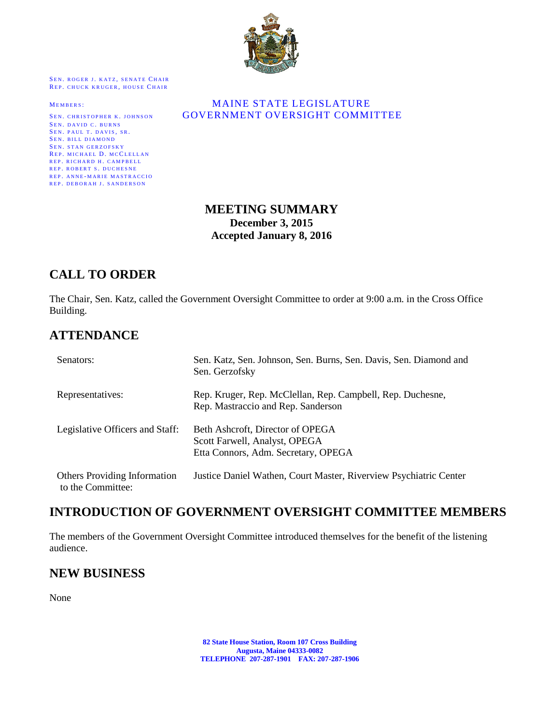

SEN. ROGER J. KATZ, SENATE CHAIR REP. CHUCK KRUGER, HOUSE CHAIR

SEN. DAVID C. BURNS SEN. PAUL T. DAVIS, SR. SEN. BILL DIAMOND SEN. STAN GERZOFSKY REP. MICHAEL D. MCCLELLAN REP. RICHARD H. CAMPBELL REP. ROBERT S. DUCHESNE REP. ANNE-MARIE MASTRACCIO REP. DEBORAH J. SANDERSON

#### MEMBERS: MAINE STATE LEGISLATURE SEN. CHRISTOPHER K. JOHNSON **GOVERNMENT OVERSIGHT COMMITTEE**

### **MEETING SUMMARY December 3, 2015 Accepted January 8, 2016**

# **CALL TO ORDER**

The Chair, Sen. Katz, called the Government Oversight Committee to order at 9:00 a.m. in the Cross Office Building.

# **ATTENDANCE**

| Senators:                                         | Sen. Katz, Sen. Johnson, Sen. Burns, Sen. Davis, Sen. Diamond and<br>Sen. Gerzofsky                      |
|---------------------------------------------------|----------------------------------------------------------------------------------------------------------|
| Representatives:                                  | Rep. Kruger, Rep. McClellan, Rep. Campbell, Rep. Duchesne,<br>Rep. Mastraccio and Rep. Sanderson         |
| Legislative Officers and Staff:                   | Beth Ashcroft, Director of OPEGA<br>Scott Farwell, Analyst, OPEGA<br>Etta Connors, Adm. Secretary, OPEGA |
| Others Providing Information<br>to the Committee: | Justice Daniel Wathen, Court Master, Riverview Psychiatric Center                                        |

## **INTRODUCTION OF GOVERNMENT OVERSIGHT COMMITTEE MEMBERS**

The members of the Government Oversight Committee introduced themselves for the benefit of the listening audience.

## **NEW BUSINESS**

None

**82 State House Station, Room 107 Cross Building Augusta, Maine 04333-0082 TELEPHONE 207-287-1901 FAX: 207-287-1906**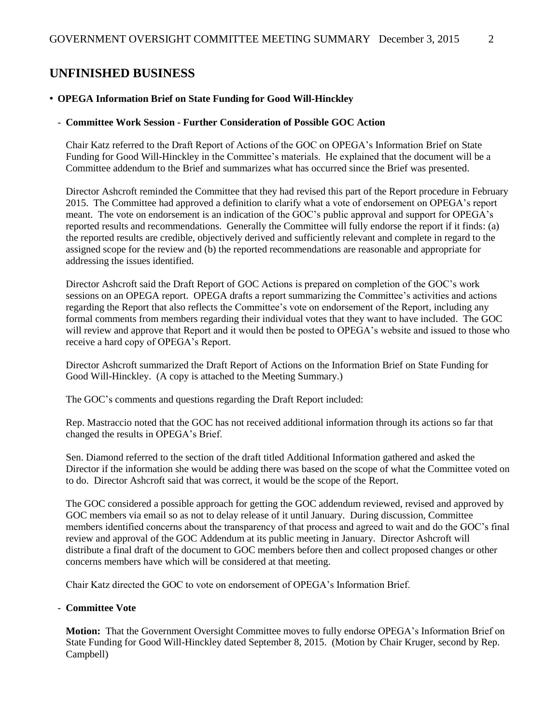### **UNFINISHED BUSINESS**

#### • **OPEGA Information Brief on State Funding for Good Will-Hinckley**

#### - **Committee Work Session - Further Consideration of Possible GOC Action**

Chair Katz referred to the Draft Report of Actions of the GOC on OPEGA's Information Brief on State Funding for Good Will-Hinckley in the Committee's materials. He explained that the document will be a Committee addendum to the Brief and summarizes what has occurred since the Brief was presented.

Director Ashcroft reminded the Committee that they had revised this part of the Report procedure in February 2015. The Committee had approved a definition to clarify what a vote of endorsement on OPEGA's report meant. The vote on endorsement is an indication of the GOC's public approval and support for OPEGA's reported results and recommendations. Generally the Committee will fully endorse the report if it finds: (a) the reported results are credible, objectively derived and sufficiently relevant and complete in regard to the assigned scope for the review and (b) the reported recommendations are reasonable and appropriate for addressing the issues identified.

Director Ashcroft said the Draft Report of GOC Actions is prepared on completion of the GOC's work sessions on an OPEGA report. OPEGA drafts a report summarizing the Committee's activities and actions regarding the Report that also reflects the Committee's vote on endorsement of the Report, including any formal comments from members regarding their individual votes that they want to have included. The GOC will review and approve that Report and it would then be posted to OPEGA's website and issued to those who receive a hard copy of OPEGA's Report.

Director Ashcroft summarized the Draft Report of Actions on the Information Brief on State Funding for Good Will-Hinckley. (A copy is attached to the Meeting Summary.)

The GOC's comments and questions regarding the Draft Report included:

Rep. Mastraccio noted that the GOC has not received additional information through its actions so far that changed the results in OPEGA's Brief.

Sen. Diamond referred to the section of the draft titled Additional Information gathered and asked the Director if the information she would be adding there was based on the scope of what the Committee voted on to do. Director Ashcroft said that was correct, it would be the scope of the Report.

The GOC considered a possible approach for getting the GOC addendum reviewed, revised and approved by GOC members via email so as not to delay release of it until January. During discussion, Committee members identified concerns about the transparency of that process and agreed to wait and do the GOC's final review and approval of the GOC Addendum at its public meeting in January. Director Ashcroft will distribute a final draft of the document to GOC members before then and collect proposed changes or other concerns members have which will be considered at that meeting.

Chair Katz directed the GOC to vote on endorsement of OPEGA's Information Brief.

#### - **Committee Vote**

**Motion:** That the Government Oversight Committee moves to fully endorse OPEGA's Information Brief on State Funding for Good Will-Hinckley dated September 8, 2015. (Motion by Chair Kruger, second by Rep. Campbell)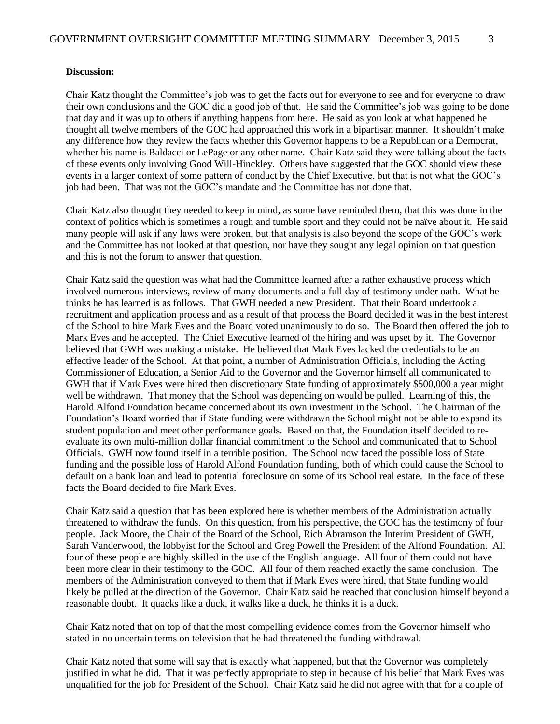#### **Discussion:**

Chair Katz thought the Committee's job was to get the facts out for everyone to see and for everyone to draw their own conclusions and the GOC did a good job of that. He said the Committee's job was going to be done that day and it was up to others if anything happens from here. He said as you look at what happened he thought all twelve members of the GOC had approached this work in a bipartisan manner. It shouldn't make any difference how they review the facts whether this Governor happens to be a Republican or a Democrat, whether his name is Baldacci or LePage or any other name. Chair Katz said they were talking about the facts of these events only involving Good Will-Hinckley. Others have suggested that the GOC should view these events in a larger context of some pattern of conduct by the Chief Executive, but that is not what the GOC's job had been. That was not the GOC's mandate and the Committee has not done that.

Chair Katz also thought they needed to keep in mind, as some have reminded them, that this was done in the context of politics which is sometimes a rough and tumble sport and they could not be naïve about it. He said many people will ask if any laws were broken, but that analysis is also beyond the scope of the GOC's work and the Committee has not looked at that question, nor have they sought any legal opinion on that question and this is not the forum to answer that question.

Chair Katz said the question was what had the Committee learned after a rather exhaustive process which involved numerous interviews, review of many documents and a full day of testimony under oath. What he thinks he has learned is as follows. That GWH needed a new President. That their Board undertook a recruitment and application process and as a result of that process the Board decided it was in the best interest of the School to hire Mark Eves and the Board voted unanimously to do so. The Board then offered the job to Mark Eves and he accepted. The Chief Executive learned of the hiring and was upset by it. The Governor believed that GWH was making a mistake. He believed that Mark Eves lacked the credentials to be an effective leader of the School. At that point, a number of Administration Officials, including the Acting Commissioner of Education, a Senior Aid to the Governor and the Governor himself all communicated to GWH that if Mark Eves were hired then discretionary State funding of approximately \$500,000 a year might well be withdrawn. That money that the School was depending on would be pulled. Learning of this, the Harold Alfond Foundation became concerned about its own investment in the School. The Chairman of the Foundation's Board worried that if State funding were withdrawn the School might not be able to expand its student population and meet other performance goals. Based on that, the Foundation itself decided to reevaluate its own multi-million dollar financial commitment to the School and communicated that to School Officials. GWH now found itself in a terrible position. The School now faced the possible loss of State funding and the possible loss of Harold Alfond Foundation funding, both of which could cause the School to default on a bank loan and lead to potential foreclosure on some of its School real estate. In the face of these facts the Board decided to fire Mark Eves.

Chair Katz said a question that has been explored here is whether members of the Administration actually threatened to withdraw the funds. On this question, from his perspective, the GOC has the testimony of four people. Jack Moore, the Chair of the Board of the School, Rich Abramson the Interim President of GWH, Sarah Vanderwood, the lobbyist for the School and Greg Powell the President of the Alfond Foundation. All four of these people are highly skilled in the use of the English language. All four of them could not have been more clear in their testimony to the GOC. All four of them reached exactly the same conclusion. The members of the Administration conveyed to them that if Mark Eves were hired, that State funding would likely be pulled at the direction of the Governor. Chair Katz said he reached that conclusion himself beyond a reasonable doubt. It quacks like a duck, it walks like a duck, he thinks it is a duck.

Chair Katz noted that on top of that the most compelling evidence comes from the Governor himself who stated in no uncertain terms on television that he had threatened the funding withdrawal.

Chair Katz noted that some will say that is exactly what happened, but that the Governor was completely justified in what he did. That it was perfectly appropriate to step in because of his belief that Mark Eves was unqualified for the job for President of the School. Chair Katz said he did not agree with that for a couple of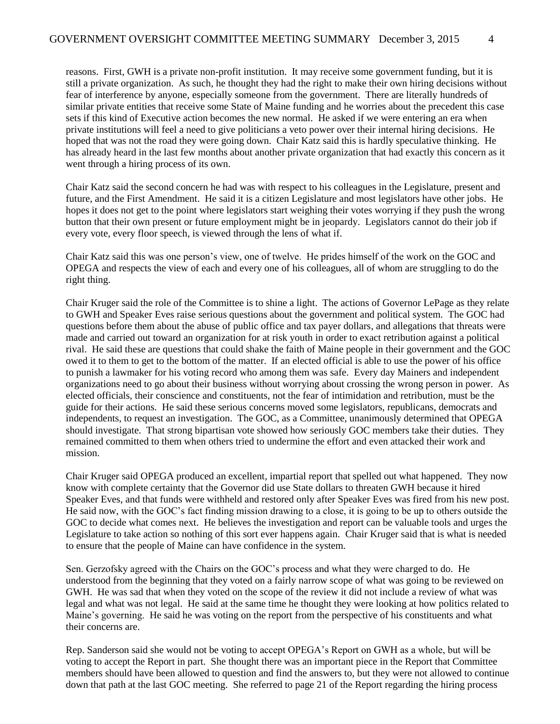reasons. First, GWH is a private non-profit institution. It may receive some government funding, but it is still a private organization. As such, he thought they had the right to make their own hiring decisions without fear of interference by anyone, especially someone from the government. There are literally hundreds of similar private entities that receive some State of Maine funding and he worries about the precedent this case sets if this kind of Executive action becomes the new normal. He asked if we were entering an era when private institutions will feel a need to give politicians a veto power over their internal hiring decisions. He hoped that was not the road they were going down. Chair Katz said this is hardly speculative thinking. He has already heard in the last few months about another private organization that had exactly this concern as it went through a hiring process of its own.

Chair Katz said the second concern he had was with respect to his colleagues in the Legislature, present and future, and the First Amendment. He said it is a citizen Legislature and most legislators have other jobs. He hopes it does not get to the point where legislators start weighing their votes worrying if they push the wrong button that their own present or future employment might be in jeopardy. Legislators cannot do their job if every vote, every floor speech, is viewed through the lens of what if.

Chair Katz said this was one person's view, one of twelve. He prides himself of the work on the GOC and OPEGA and respects the view of each and every one of his colleagues, all of whom are struggling to do the right thing.

Chair Kruger said the role of the Committee is to shine a light. The actions of Governor LePage as they relate to GWH and Speaker Eves raise serious questions about the government and political system. The GOC had questions before them about the abuse of public office and tax payer dollars, and allegations that threats were made and carried out toward an organization for at risk youth in order to exact retribution against a political rival. He said these are questions that could shake the faith of Maine people in their government and the GOC owed it to them to get to the bottom of the matter. If an elected official is able to use the power of his office to punish a lawmaker for his voting record who among them was safe. Every day Mainers and independent organizations need to go about their business without worrying about crossing the wrong person in power. As elected officials, their conscience and constituents, not the fear of intimidation and retribution, must be the guide for their actions. He said these serious concerns moved some legislators, republicans, democrats and independents, to request an investigation. The GOC, as a Committee, unanimously determined that OPEGA should investigate. That strong bipartisan vote showed how seriously GOC members take their duties. They remained committed to them when others tried to undermine the effort and even attacked their work and mission.

Chair Kruger said OPEGA produced an excellent, impartial report that spelled out what happened. They now know with complete certainty that the Governor did use State dollars to threaten GWH because it hired Speaker Eves, and that funds were withheld and restored only after Speaker Eves was fired from his new post. He said now, with the GOC's fact finding mission drawing to a close, it is going to be up to others outside the GOC to decide what comes next. He believes the investigation and report can be valuable tools and urges the Legislature to take action so nothing of this sort ever happens again. Chair Kruger said that is what is needed to ensure that the people of Maine can have confidence in the system.

Sen. Gerzofsky agreed with the Chairs on the GOC's process and what they were charged to do. He understood from the beginning that they voted on a fairly narrow scope of what was going to be reviewed on GWH. He was sad that when they voted on the scope of the review it did not include a review of what was legal and what was not legal. He said at the same time he thought they were looking at how politics related to Maine's governing. He said he was voting on the report from the perspective of his constituents and what their concerns are.

Rep. Sanderson said she would not be voting to accept OPEGA's Report on GWH as a whole, but will be voting to accept the Report in part. She thought there was an important piece in the Report that Committee members should have been allowed to question and find the answers to, but they were not allowed to continue down that path at the last GOC meeting. She referred to page 21 of the Report regarding the hiring process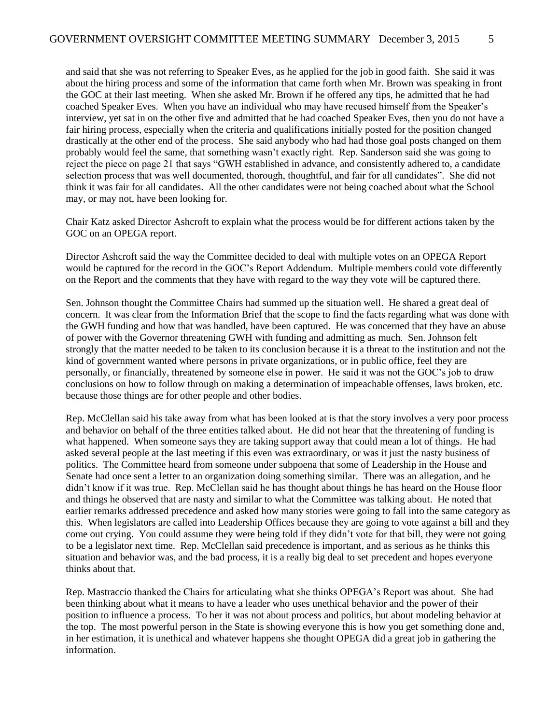and said that she was not referring to Speaker Eves, as he applied for the job in good faith. She said it was about the hiring process and some of the information that came forth when Mr. Brown was speaking in front the GOC at their last meeting. When she asked Mr. Brown if he offered any tips, he admitted that he had coached Speaker Eves. When you have an individual who may have recused himself from the Speaker's interview, yet sat in on the other five and admitted that he had coached Speaker Eves, then you do not have a fair hiring process, especially when the criteria and qualifications initially posted for the position changed drastically at the other end of the process. She said anybody who had had those goal posts changed on them probably would feel the same, that something wasn't exactly right. Rep. Sanderson said she was going to reject the piece on page 21 that says "GWH established in advance, and consistently adhered to, a candidate selection process that was well documented, thorough, thoughtful, and fair for all candidates". She did not think it was fair for all candidates. All the other candidates were not being coached about what the School may, or may not, have been looking for.

Chair Katz asked Director Ashcroft to explain what the process would be for different actions taken by the GOC on an OPEGA report.

Director Ashcroft said the way the Committee decided to deal with multiple votes on an OPEGA Report would be captured for the record in the GOC's Report Addendum. Multiple members could vote differently on the Report and the comments that they have with regard to the way they vote will be captured there.

Sen. Johnson thought the Committee Chairs had summed up the situation well. He shared a great deal of concern. It was clear from the Information Brief that the scope to find the facts regarding what was done with the GWH funding and how that was handled, have been captured. He was concerned that they have an abuse of power with the Governor threatening GWH with funding and admitting as much. Sen. Johnson felt strongly that the matter needed to be taken to its conclusion because it is a threat to the institution and not the kind of government wanted where persons in private organizations, or in public office, feel they are personally, or financially, threatened by someone else in power. He said it was not the GOC's job to draw conclusions on how to follow through on making a determination of impeachable offenses, laws broken, etc. because those things are for other people and other bodies.

Rep. McClellan said his take away from what has been looked at is that the story involves a very poor process and behavior on behalf of the three entities talked about. He did not hear that the threatening of funding is what happened. When someone says they are taking support away that could mean a lot of things. He had asked several people at the last meeting if this even was extraordinary, or was it just the nasty business of politics. The Committee heard from someone under subpoena that some of Leadership in the House and Senate had once sent a letter to an organization doing something similar. There was an allegation, and he didn't know if it was true. Rep. McClellan said he has thought about things he has heard on the House floor and things he observed that are nasty and similar to what the Committee was talking about. He noted that earlier remarks addressed precedence and asked how many stories were going to fall into the same category as this. When legislators are called into Leadership Offices because they are going to vote against a bill and they come out crying. You could assume they were being told if they didn't vote for that bill, they were not going to be a legislator next time. Rep. McClellan said precedence is important, and as serious as he thinks this situation and behavior was, and the bad process, it is a really big deal to set precedent and hopes everyone thinks about that.

Rep. Mastraccio thanked the Chairs for articulating what she thinks OPEGA's Report was about. She had been thinking about what it means to have a leader who uses unethical behavior and the power of their position to influence a process. To her it was not about process and politics, but about modeling behavior at the top. The most powerful person in the State is showing everyone this is how you get something done and, in her estimation, it is unethical and whatever happens she thought OPEGA did a great job in gathering the information.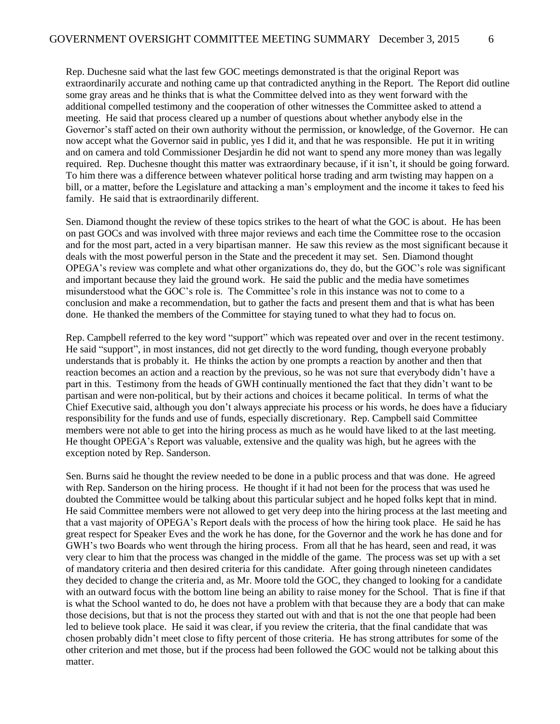Rep. Duchesne said what the last few GOC meetings demonstrated is that the original Report was extraordinarily accurate and nothing came up that contradicted anything in the Report. The Report did outline some gray areas and he thinks that is what the Committee delved into as they went forward with the additional compelled testimony and the cooperation of other witnesses the Committee asked to attend a meeting. He said that process cleared up a number of questions about whether anybody else in the Governor's staff acted on their own authority without the permission, or knowledge, of the Governor. He can now accept what the Governor said in public, yes I did it, and that he was responsible. He put it in writing and on camera and told Commissioner Desjardin he did not want to spend any more money than was legally required. Rep. Duchesne thought this matter was extraordinary because, if it isn't, it should be going forward. To him there was a difference between whatever political horse trading and arm twisting may happen on a bill, or a matter, before the Legislature and attacking a man's employment and the income it takes to feed his family. He said that is extraordinarily different.

Sen. Diamond thought the review of these topics strikes to the heart of what the GOC is about. He has been on past GOCs and was involved with three major reviews and each time the Committee rose to the occasion and for the most part, acted in a very bipartisan manner. He saw this review as the most significant because it deals with the most powerful person in the State and the precedent it may set. Sen. Diamond thought OPEGA's review was complete and what other organizations do, they do, but the GOC's role was significant and important because they laid the ground work. He said the public and the media have sometimes misunderstood what the GOC's role is. The Committee's role in this instance was not to come to a conclusion and make a recommendation, but to gather the facts and present them and that is what has been done. He thanked the members of the Committee for staying tuned to what they had to focus on.

Rep. Campbell referred to the key word "support" which was repeated over and over in the recent testimony. He said "support", in most instances, did not get directly to the word funding, though everyone probably understands that is probably it. He thinks the action by one prompts a reaction by another and then that reaction becomes an action and a reaction by the previous, so he was not sure that everybody didn't have a part in this. Testimony from the heads of GWH continually mentioned the fact that they didn't want to be partisan and were non-political, but by their actions and choices it became political. In terms of what the Chief Executive said, although you don't always appreciate his process or his words, he does have a fiduciary responsibility for the funds and use of funds, especially discretionary. Rep. Campbell said Committee members were not able to get into the hiring process as much as he would have liked to at the last meeting. He thought OPEGA's Report was valuable, extensive and the quality was high, but he agrees with the exception noted by Rep. Sanderson.

Sen. Burns said he thought the review needed to be done in a public process and that was done. He agreed with Rep. Sanderson on the hiring process. He thought if it had not been for the process that was used he doubted the Committee would be talking about this particular subject and he hoped folks kept that in mind. He said Committee members were not allowed to get very deep into the hiring process at the last meeting and that a vast majority of OPEGA's Report deals with the process of how the hiring took place. He said he has great respect for Speaker Eves and the work he has done, for the Governor and the work he has done and for GWH's two Boards who went through the hiring process. From all that he has heard, seen and read, it was very clear to him that the process was changed in the middle of the game. The process was set up with a set of mandatory criteria and then desired criteria for this candidate. After going through nineteen candidates they decided to change the criteria and, as Mr. Moore told the GOC, they changed to looking for a candidate with an outward focus with the bottom line being an ability to raise money for the School. That is fine if that is what the School wanted to do, he does not have a problem with that because they are a body that can make those decisions, but that is not the process they started out with and that is not the one that people had been led to believe took place. He said it was clear, if you review the criteria, that the final candidate that was chosen probably didn't meet close to fifty percent of those criteria. He has strong attributes for some of the other criterion and met those, but if the process had been followed the GOC would not be talking about this matter.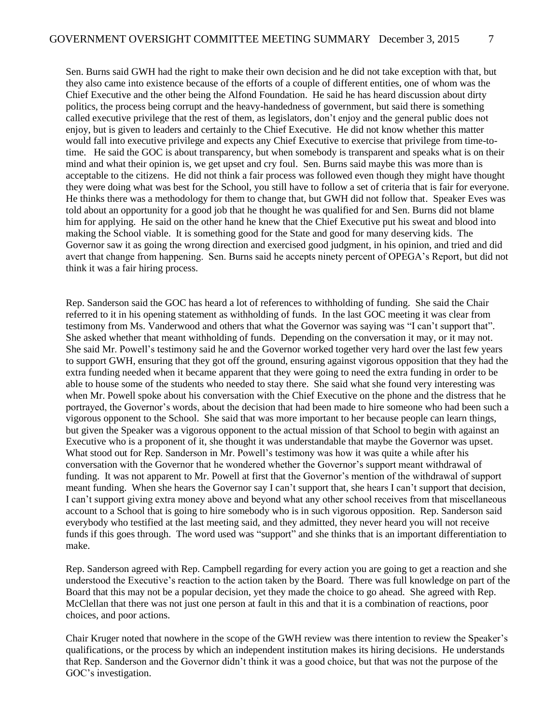Sen. Burns said GWH had the right to make their own decision and he did not take exception with that, but they also came into existence because of the efforts of a couple of different entities, one of whom was the Chief Executive and the other being the Alfond Foundation. He said he has heard discussion about dirty politics, the process being corrupt and the heavy-handedness of government, but said there is something called executive privilege that the rest of them, as legislators, don't enjoy and the general public does not enjoy, but is given to leaders and certainly to the Chief Executive. He did not know whether this matter would fall into executive privilege and expects any Chief Executive to exercise that privilege from time-totime. He said the GOC is about transparency, but when somebody is transparent and speaks what is on their mind and what their opinion is, we get upset and cry foul. Sen. Burns said maybe this was more than is acceptable to the citizens. He did not think a fair process was followed even though they might have thought they were doing what was best for the School, you still have to follow a set of criteria that is fair for everyone. He thinks there was a methodology for them to change that, but GWH did not follow that. Speaker Eves was told about an opportunity for a good job that he thought he was qualified for and Sen. Burns did not blame him for applying. He said on the other hand he knew that the Chief Executive put his sweat and blood into making the School viable. It is something good for the State and good for many deserving kids. The Governor saw it as going the wrong direction and exercised good judgment, in his opinion, and tried and did avert that change from happening. Sen. Burns said he accepts ninety percent of OPEGA's Report, but did not think it was a fair hiring process.

Rep. Sanderson said the GOC has heard a lot of references to withholding of funding. She said the Chair referred to it in his opening statement as withholding of funds. In the last GOC meeting it was clear from testimony from Ms. Vanderwood and others that what the Governor was saying was "I can't support that". She asked whether that meant withholding of funds. Depending on the conversation it may, or it may not. She said Mr. Powell's testimony said he and the Governor worked together very hard over the last few years to support GWH, ensuring that they got off the ground, ensuring against vigorous opposition that they had the extra funding needed when it became apparent that they were going to need the extra funding in order to be able to house some of the students who needed to stay there. She said what she found very interesting was when Mr. Powell spoke about his conversation with the Chief Executive on the phone and the distress that he portrayed, the Governor's words, about the decision that had been made to hire someone who had been such a vigorous opponent to the School. She said that was more important to her because people can learn things, but given the Speaker was a vigorous opponent to the actual mission of that School to begin with against an Executive who is a proponent of it, she thought it was understandable that maybe the Governor was upset. What stood out for Rep. Sanderson in Mr. Powell's testimony was how it was quite a while after his conversation with the Governor that he wondered whether the Governor's support meant withdrawal of funding. It was not apparent to Mr. Powell at first that the Governor's mention of the withdrawal of support meant funding. When she hears the Governor say I can't support that, she hears I can't support that decision, I can't support giving extra money above and beyond what any other school receives from that miscellaneous account to a School that is going to hire somebody who is in such vigorous opposition. Rep. Sanderson said everybody who testified at the last meeting said, and they admitted, they never heard you will not receive funds if this goes through. The word used was "support" and she thinks that is an important differentiation to make.

Rep. Sanderson agreed with Rep. Campbell regarding for every action you are going to get a reaction and she understood the Executive's reaction to the action taken by the Board. There was full knowledge on part of the Board that this may not be a popular decision, yet they made the choice to go ahead. She agreed with Rep. McClellan that there was not just one person at fault in this and that it is a combination of reactions, poor choices, and poor actions.

Chair Kruger noted that nowhere in the scope of the GWH review was there intention to review the Speaker's qualifications, or the process by which an independent institution makes its hiring decisions. He understands that Rep. Sanderson and the Governor didn't think it was a good choice, but that was not the purpose of the GOC's investigation.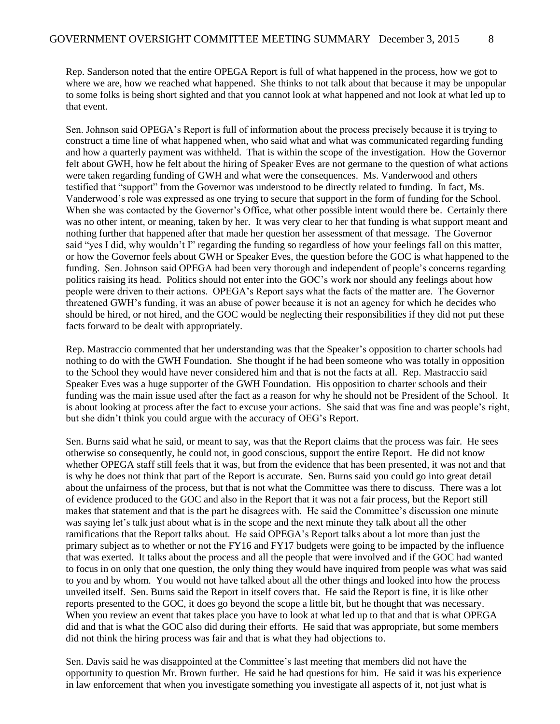Rep. Sanderson noted that the entire OPEGA Report is full of what happened in the process, how we got to where we are, how we reached what happened. She thinks to not talk about that because it may be unpopular to some folks is being short sighted and that you cannot look at what happened and not look at what led up to that event.

Sen. Johnson said OPEGA's Report is full of information about the process precisely because it is trying to construct a time line of what happened when, who said what and what was communicated regarding funding and how a quarterly payment was withheld. That is within the scope of the investigation. How the Governor felt about GWH, how he felt about the hiring of Speaker Eves are not germane to the question of what actions were taken regarding funding of GWH and what were the consequences. Ms. Vanderwood and others testified that "support" from the Governor was understood to be directly related to funding. In fact, Ms. Vanderwood's role was expressed as one trying to secure that support in the form of funding for the School. When she was contacted by the Governor's Office, what other possible intent would there be. Certainly there was no other intent, or meaning, taken by her. It was very clear to her that funding is what support meant and nothing further that happened after that made her question her assessment of that message. The Governor said "yes I did, why wouldn't I" regarding the funding so regardless of how your feelings fall on this matter, or how the Governor feels about GWH or Speaker Eves, the question before the GOC is what happened to the funding. Sen. Johnson said OPEGA had been very thorough and independent of people's concerns regarding politics raising its head. Politics should not enter into the GOC's work nor should any feelings about how people were driven to their actions. OPEGA's Report says what the facts of the matter are. The Governor threatened GWH's funding, it was an abuse of power because it is not an agency for which he decides who should be hired, or not hired, and the GOC would be neglecting their responsibilities if they did not put these facts forward to be dealt with appropriately.

Rep. Mastraccio commented that her understanding was that the Speaker's opposition to charter schools had nothing to do with the GWH Foundation. She thought if he had been someone who was totally in opposition to the School they would have never considered him and that is not the facts at all. Rep. Mastraccio said Speaker Eves was a huge supporter of the GWH Foundation. His opposition to charter schools and their funding was the main issue used after the fact as a reason for why he should not be President of the School. It is about looking at process after the fact to excuse your actions. She said that was fine and was people's right, but she didn't think you could argue with the accuracy of OEG's Report.

Sen. Burns said what he said, or meant to say, was that the Report claims that the process was fair. He sees otherwise so consequently, he could not, in good conscious, support the entire Report. He did not know whether OPEGA staff still feels that it was, but from the evidence that has been presented, it was not and that is why he does not think that part of the Report is accurate. Sen. Burns said you could go into great detail about the unfairness of the process, but that is not what the Committee was there to discuss. There was a lot of evidence produced to the GOC and also in the Report that it was not a fair process, but the Report still makes that statement and that is the part he disagrees with. He said the Committee's discussion one minute was saying let's talk just about what is in the scope and the next minute they talk about all the other ramifications that the Report talks about. He said OPEGA's Report talks about a lot more than just the primary subject as to whether or not the FY16 and FY17 budgets were going to be impacted by the influence that was exerted. It talks about the process and all the people that were involved and if the GOC had wanted to focus in on only that one question, the only thing they would have inquired from people was what was said to you and by whom. You would not have talked about all the other things and looked into how the process unveiled itself. Sen. Burns said the Report in itself covers that. He said the Report is fine, it is like other reports presented to the GOC, it does go beyond the scope a little bit, but he thought that was necessary. When you review an event that takes place you have to look at what led up to that and that is what OPEGA did and that is what the GOC also did during their efforts. He said that was appropriate, but some members did not think the hiring process was fair and that is what they had objections to.

Sen. Davis said he was disappointed at the Committee's last meeting that members did not have the opportunity to question Mr. Brown further. He said he had questions for him. He said it was his experience in law enforcement that when you investigate something you investigate all aspects of it, not just what is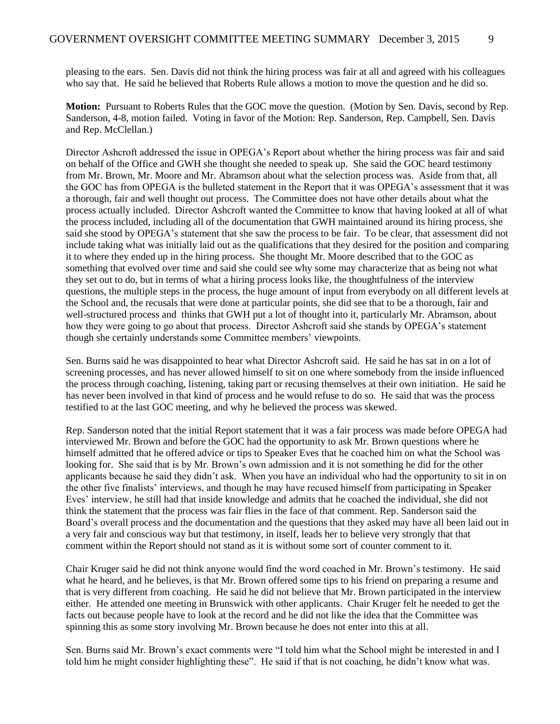pleasing to the ears. Sen. Davis did not think the hiring process was fair at all and agreed with his colleagues who say that. He said he believed that Roberts Rule allows a motion to move the question and he did so.

**Motion:** Pursuant to Roberts Rules that the GOC move the question. (Motion by Sen. Davis, second by Rep. Sanderson, 4-8, motion failed. Voting in favor of the Motion: Rep. Sanderson, Rep. Campbell, Sen. Davis and Rep. McClellan.)

Director Ashcroft addressed the issue in OPEGA's Report about whether the hiring process was fair and said on behalf of the Office and GWH she thought she needed to speak up. She said the GOC heard testimony from Mr. Brown, Mr. Moore and Mr. Abramson about what the selection process was. Aside from that, all the GOC has from OPEGA is the bulleted statement in the Report that it was OPEGA's assessment that it was a thorough, fair and well thought out process. The Committee does not have other details about what the process actually included. Director Ashcroft wanted the Committee to know that having looked at all of what the process included, including all of the documentation that GWH maintained around its hiring process, she said she stood by OPEGA's statement that she saw the process to be fair. To be clear, that assessment did not include taking what was initially laid out as the qualifications that they desired for the position and comparing it to where they ended up in the hiring process. She thought Mr. Moore described that to the GOC as something that evolved over time and said she could see why some may characterize that as being not what they set out to do, but in terms of what a hiring process looks like, the thoughtfulness of the interview questions, the multiple steps in the process, the huge amount of input from everybody on all different levels at the School and, the recusals that were done at particular points, she did see that to be a thorough, fair and well-structured process and thinks that GWH put a lot of thought into it, particularly Mr. Abramson, about how they were going to go about that process. Director Ashcroft said she stands by OPEGA's statement though she certainly understands some Committee members' viewpoints.

Sen. Burns said he was disappointed to hear what Director Ashcroft said. He said he has sat in on a lot of screening processes, and has never allowed himself to sit on one where somebody from the inside influenced the process through coaching, listening, taking part or recusing themselves at their own initiation. He said he has never been involved in that kind of process and he would refuse to do so. He said that was the process testified to at the last GOC meeting, and why he believed the process was skewed.

Rep. Sanderson noted that the initial Report statement that it was a fair process was made before OPEGA had interviewed Mr. Brown and before the GOC had the opportunity to ask Mr. Brown questions where he himself admitted that he offered advice or tips to Speaker Eves that he coached him on what the School was looking for. She said that is by Mr. Brown's own admission and it is not something he did for the other applicants because he said they didn't ask. When you have an individual who had the opportunity to sit in on the other five finalists' interviews, and though he may have recused himself from participating in Speaker Eves' interview, he still had that inside knowledge and admits that he coached the individual, she did not think the statement that the process was fair flies in the face of that comment. Rep. Sanderson said the Board's overall process and the documentation and the questions that they asked may have all been laid out in a very fair and conscious way but that testimony, in itself, leads her to believe very strongly that that comment within the Report should not stand as it is without some sort of counter comment to it.

Chair Kruger said he did not think anyone would find the word coached in Mr. Brown's testimony. He said what he heard, and he believes, is that Mr. Brown offered some tips to his friend on preparing a resume and that is very different from coaching. He said he did not believe that Mr. Brown participated in the interview either. He attended one meeting in Brunswick with other applicants. Chair Kruger felt he needed to get the facts out because people have to look at the record and he did not like the idea that the Committee was spinning this as some story involving Mr. Brown because he does not enter into this at all.

Sen. Burns said Mr. Brown's exact comments were "I told him what the School might be interested in and I told him he might consider highlighting these". He said if that is not coaching, he didn't know what was.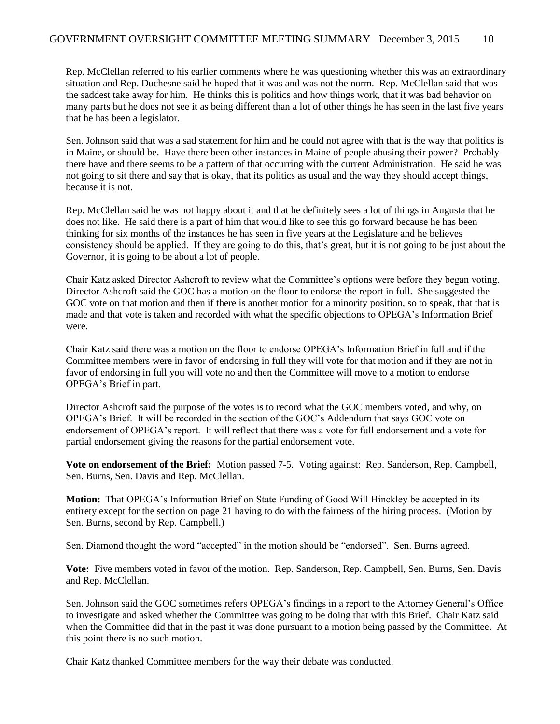Rep. McClellan referred to his earlier comments where he was questioning whether this was an extraordinary situation and Rep. Duchesne said he hoped that it was and was not the norm. Rep. McClellan said that was the saddest take away for him. He thinks this is politics and how things work, that it was bad behavior on many parts but he does not see it as being different than a lot of other things he has seen in the last five years that he has been a legislator.

Sen. Johnson said that was a sad statement for him and he could not agree with that is the way that politics is in Maine, or should be. Have there been other instances in Maine of people abusing their power? Probably there have and there seems to be a pattern of that occurring with the current Administration. He said he was not going to sit there and say that is okay, that its politics as usual and the way they should accept things, because it is not.

Rep. McClellan said he was not happy about it and that he definitely sees a lot of things in Augusta that he does not like. He said there is a part of him that would like to see this go forward because he has been thinking for six months of the instances he has seen in five years at the Legislature and he believes consistency should be applied. If they are going to do this, that's great, but it is not going to be just about the Governor, it is going to be about a lot of people.

Chair Katz asked Director Ashcroft to review what the Committee's options were before they began voting. Director Ashcroft said the GOC has a motion on the floor to endorse the report in full. She suggested the GOC vote on that motion and then if there is another motion for a minority position, so to speak, that that is made and that vote is taken and recorded with what the specific objections to OPEGA's Information Brief were.

Chair Katz said there was a motion on the floor to endorse OPEGA's Information Brief in full and if the Committee members were in favor of endorsing in full they will vote for that motion and if they are not in favor of endorsing in full you will vote no and then the Committee will move to a motion to endorse OPEGA's Brief in part.

Director Ashcroft said the purpose of the votes is to record what the GOC members voted, and why, on OPEGA's Brief. It will be recorded in the section of the GOC's Addendum that says GOC vote on endorsement of OPEGA's report. It will reflect that there was a vote for full endorsement and a vote for partial endorsement giving the reasons for the partial endorsement vote.

**Vote on endorsement of the Brief:** Motion passed 7-5. Voting against: Rep. Sanderson, Rep. Campbell, Sen. Burns, Sen. Davis and Rep. McClellan.

**Motion:** That OPEGA's Information Brief on State Funding of Good Will Hinckley be accepted in its entirety except for the section on page 21 having to do with the fairness of the hiring process. (Motion by Sen. Burns, second by Rep. Campbell.)

Sen. Diamond thought the word "accepted" in the motion should be "endorsed". Sen. Burns agreed.

**Vote:** Five members voted in favor of the motion. Rep. Sanderson, Rep. Campbell, Sen. Burns, Sen. Davis and Rep. McClellan.

Sen. Johnson said the GOC sometimes refers OPEGA's findings in a report to the Attorney General's Office to investigate and asked whether the Committee was going to be doing that with this Brief. Chair Katz said when the Committee did that in the past it was done pursuant to a motion being passed by the Committee. At this point there is no such motion.

Chair Katz thanked Committee members for the way their debate was conducted.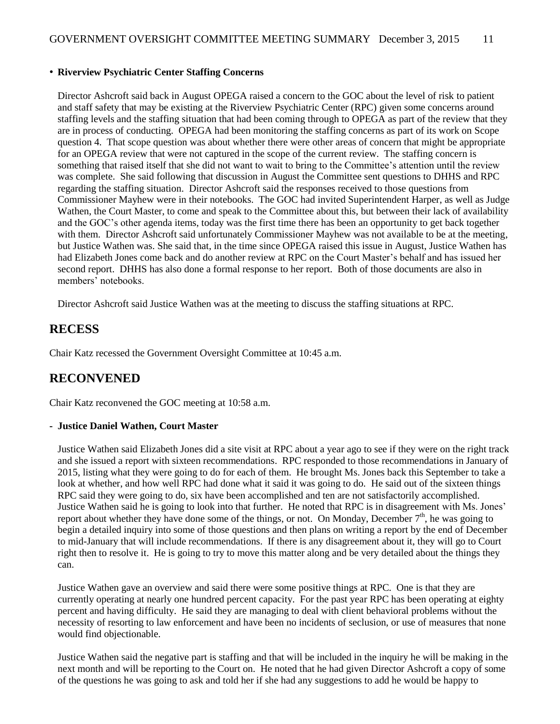#### • **Riverview Psychiatric Center Staffing Concerns**

Director Ashcroft said back in August OPEGA raised a concern to the GOC about the level of risk to patient and staff safety that may be existing at the Riverview Psychiatric Center (RPC) given some concerns around staffing levels and the staffing situation that had been coming through to OPEGA as part of the review that they are in process of conducting. OPEGA had been monitoring the staffing concerns as part of its work on Scope question 4. That scope question was about whether there were other areas of concern that might be appropriate for an OPEGA review that were not captured in the scope of the current review. The staffing concern is something that raised itself that she did not want to wait to bring to the Committee's attention until the review was complete. She said following that discussion in August the Committee sent questions to DHHS and RPC regarding the staffing situation. Director Ashcroft said the responses received to those questions from Commissioner Mayhew were in their notebooks. The GOC had invited Superintendent Harper, as well as Judge Wathen, the Court Master, to come and speak to the Committee about this, but between their lack of availability and the GOC's other agenda items, today was the first time there has been an opportunity to get back together with them. Director Ashcroft said unfortunately Commissioner Mayhew was not available to be at the meeting, but Justice Wathen was. She said that, in the time since OPEGA raised this issue in August, Justice Wathen has had Elizabeth Jones come back and do another review at RPC on the Court Master's behalf and has issued her second report. DHHS has also done a formal response to her report. Both of those documents are also in members' notebooks.

Director Ashcroft said Justice Wathen was at the meeting to discuss the staffing situations at RPC.

### **RECESS**

Chair Katz recessed the Government Oversight Committee at 10:45 a.m.

### **RECONVENED**

Chair Katz reconvened the GOC meeting at 10:58 a.m.

#### **- Justice Daniel Wathen, Court Master**

Justice Wathen said Elizabeth Jones did a site visit at RPC about a year ago to see if they were on the right track and she issued a report with sixteen recommendations. RPC responded to those recommendations in January of 2015, listing what they were going to do for each of them. He brought Ms. Jones back this September to take a look at whether, and how well RPC had done what it said it was going to do. He said out of the sixteen things RPC said they were going to do, six have been accomplished and ten are not satisfactorily accomplished. Justice Wathen said he is going to look into that further. He noted that RPC is in disagreement with Ms. Jones' report about whether they have done some of the things, or not. On Monday, December  $7<sup>th</sup>$ , he was going to begin a detailed inquiry into some of those questions and then plans on writing a report by the end of December to mid-January that will include recommendations. If there is any disagreement about it, they will go to Court right then to resolve it. He is going to try to move this matter along and be very detailed about the things they can.

Justice Wathen gave an overview and said there were some positive things at RPC. One is that they are currently operating at nearly one hundred percent capacity. For the past year RPC has been operating at eighty percent and having difficulty. He said they are managing to deal with client behavioral problems without the necessity of resorting to law enforcement and have been no incidents of seclusion, or use of measures that none would find objectionable.

Justice Wathen said the negative part is staffing and that will be included in the inquiry he will be making in the next month and will be reporting to the Court on. He noted that he had given Director Ashcroft a copy of some of the questions he was going to ask and told her if she had any suggestions to add he would be happy to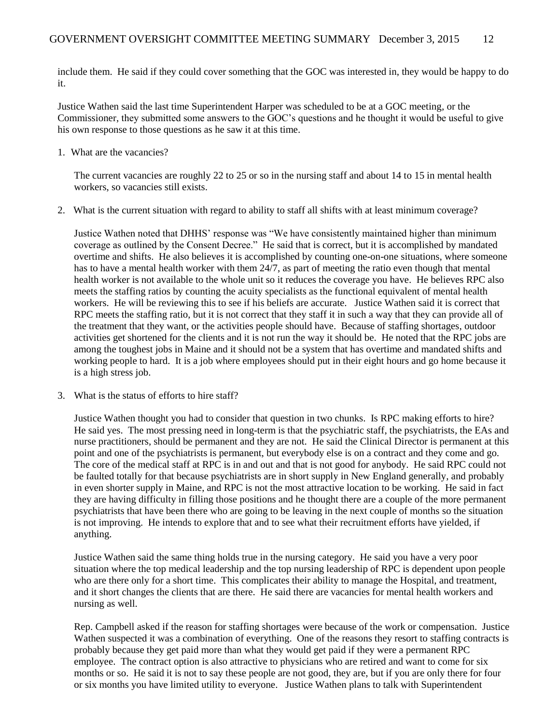include them. He said if they could cover something that the GOC was interested in, they would be happy to do it.

Justice Wathen said the last time Superintendent Harper was scheduled to be at a GOC meeting, or the Commissioner, they submitted some answers to the GOC's questions and he thought it would be useful to give his own response to those questions as he saw it at this time.

1. What are the vacancies?

The current vacancies are roughly 22 to 25 or so in the nursing staff and about 14 to 15 in mental health workers, so vacancies still exists.

2. What is the current situation with regard to ability to staff all shifts with at least minimum coverage?

Justice Wathen noted that DHHS' response was "We have consistently maintained higher than minimum coverage as outlined by the Consent Decree." He said that is correct, but it is accomplished by mandated overtime and shifts. He also believes it is accomplished by counting one-on-one situations, where someone has to have a mental health worker with them 24/7, as part of meeting the ratio even though that mental health worker is not available to the whole unit so it reduces the coverage you have. He believes RPC also meets the staffing ratios by counting the acuity specialists as the functional equivalent of mental health workers. He will be reviewing this to see if his beliefs are accurate. Justice Wathen said it is correct that RPC meets the staffing ratio, but it is not correct that they staff it in such a way that they can provide all of the treatment that they want, or the activities people should have. Because of staffing shortages, outdoor activities get shortened for the clients and it is not run the way it should be. He noted that the RPC jobs are among the toughest jobs in Maine and it should not be a system that has overtime and mandated shifts and working people to hard. It is a job where employees should put in their eight hours and go home because it is a high stress job.

3. What is the status of efforts to hire staff?

Justice Wathen thought you had to consider that question in two chunks. Is RPC making efforts to hire? He said yes. The most pressing need in long-term is that the psychiatric staff, the psychiatrists, the EAs and nurse practitioners, should be permanent and they are not. He said the Clinical Director is permanent at this point and one of the psychiatrists is permanent, but everybody else is on a contract and they come and go. The core of the medical staff at RPC is in and out and that is not good for anybody. He said RPC could not be faulted totally for that because psychiatrists are in short supply in New England generally, and probably in even shorter supply in Maine, and RPC is not the most attractive location to be working. He said in fact they are having difficulty in filling those positions and he thought there are a couple of the more permanent psychiatrists that have been there who are going to be leaving in the next couple of months so the situation is not improving. He intends to explore that and to see what their recruitment efforts have yielded, if anything.

Justice Wathen said the same thing holds true in the nursing category. He said you have a very poor situation where the top medical leadership and the top nursing leadership of RPC is dependent upon people who are there only for a short time. This complicates their ability to manage the Hospital, and treatment, and it short changes the clients that are there. He said there are vacancies for mental health workers and nursing as well.

Rep. Campbell asked if the reason for staffing shortages were because of the work or compensation. Justice Wathen suspected it was a combination of everything. One of the reasons they resort to staffing contracts is probably because they get paid more than what they would get paid if they were a permanent RPC employee. The contract option is also attractive to physicians who are retired and want to come for six months or so. He said it is not to say these people are not good, they are, but if you are only there for four or six months you have limited utility to everyone. Justice Wathen plans to talk with Superintendent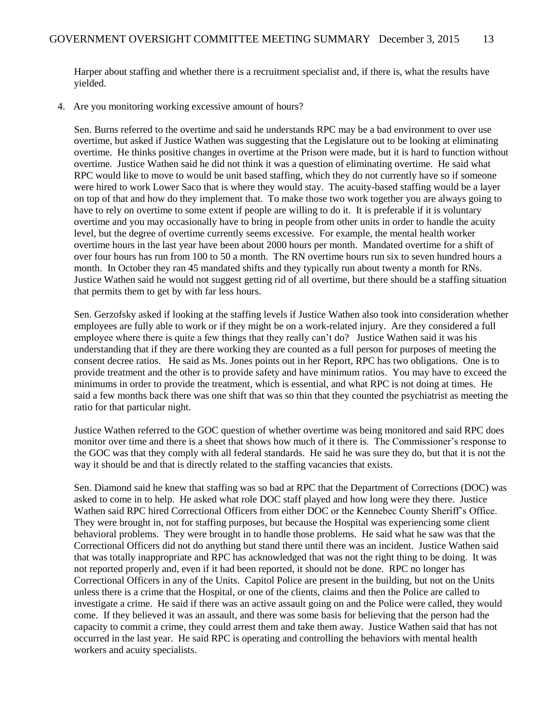Harper about staffing and whether there is a recruitment specialist and, if there is, what the results have yielded.

4. Are you monitoring working excessive amount of hours?

Sen. Burns referred to the overtime and said he understands RPC may be a bad environment to over use overtime, but asked if Justice Wathen was suggesting that the Legislature out to be looking at eliminating overtime. He thinks positive changes in overtime at the Prison were made, but it is hard to function without overtime. Justice Wathen said he did not think it was a question of eliminating overtime. He said what RPC would like to move to would be unit based staffing, which they do not currently have so if someone were hired to work Lower Saco that is where they would stay. The acuity-based staffing would be a layer on top of that and how do they implement that. To make those two work together you are always going to have to rely on overtime to some extent if people are willing to do it. It is preferable if it is voluntary overtime and you may occasionally have to bring in people from other units in order to handle the acuity level, but the degree of overtime currently seems excessive. For example, the mental health worker overtime hours in the last year have been about 2000 hours per month. Mandated overtime for a shift of over four hours has run from 100 to 50 a month. The RN overtime hours run six to seven hundred hours a month. In October they ran 45 mandated shifts and they typically run about twenty a month for RNs. Justice Wathen said he would not suggest getting rid of all overtime, but there should be a staffing situation that permits them to get by with far less hours.

Sen. Gerzofsky asked if looking at the staffing levels if Justice Wathen also took into consideration whether employees are fully able to work or if they might be on a work-related injury. Are they considered a full employee where there is quite a few things that they really can't do? Justice Wathen said it was his understanding that if they are there working they are counted as a full person for purposes of meeting the consent decree ratios. He said as Ms. Jones points out in her Report, RPC has two obligations. One is to provide treatment and the other is to provide safety and have minimum ratios. You may have to exceed the minimums in order to provide the treatment, which is essential, and what RPC is not doing at times. He said a few months back there was one shift that was so thin that they counted the psychiatrist as meeting the ratio for that particular night.

Justice Wathen referred to the GOC question of whether overtime was being monitored and said RPC does monitor over time and there is a sheet that shows how much of it there is. The Commissioner's response to the GOC was that they comply with all federal standards. He said he was sure they do, but that it is not the way it should be and that is directly related to the staffing vacancies that exists.

Sen. Diamond said he knew that staffing was so bad at RPC that the Department of Corrections (DOC) was asked to come in to help. He asked what role DOC staff played and how long were they there. Justice Wathen said RPC hired Correctional Officers from either DOC or the Kennebec County Sheriff's Office. They were brought in, not for staffing purposes, but because the Hospital was experiencing some client behavioral problems. They were brought in to handle those problems. He said what he saw was that the Correctional Officers did not do anything but stand there until there was an incident. Justice Wathen said that was totally inappropriate and RPC has acknowledged that was not the right thing to be doing. It was not reported properly and, even if it had been reported, it should not be done. RPC no longer has Correctional Officers in any of the Units. Capitol Police are present in the building, but not on the Units unless there is a crime that the Hospital, or one of the clients, claims and then the Police are called to investigate a crime. He said if there was an active assault going on and the Police were called, they would come. If they believed it was an assault, and there was some basis for believing that the person had the capacity to commit a crime, they could arrest them and take them away. Justice Wathen said that has not occurred in the last year. He said RPC is operating and controlling the behaviors with mental health workers and acuity specialists.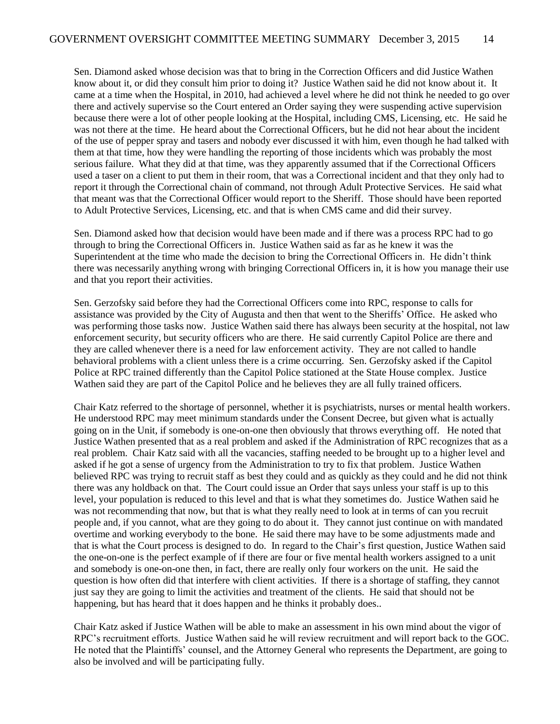Sen. Diamond asked whose decision was that to bring in the Correction Officers and did Justice Wathen know about it, or did they consult him prior to doing it? Justice Wathen said he did not know about it. It came at a time when the Hospital, in 2010, had achieved a level where he did not think he needed to go over there and actively supervise so the Court entered an Order saying they were suspending active supervision because there were a lot of other people looking at the Hospital, including CMS, Licensing, etc. He said he was not there at the time. He heard about the Correctional Officers, but he did not hear about the incident of the use of pepper spray and tasers and nobody ever discussed it with him, even though he had talked with them at that time, how they were handling the reporting of those incidents which was probably the most serious failure. What they did at that time, was they apparently assumed that if the Correctional Officers used a taser on a client to put them in their room, that was a Correctional incident and that they only had to report it through the Correctional chain of command, not through Adult Protective Services. He said what that meant was that the Correctional Officer would report to the Sheriff. Those should have been reported to Adult Protective Services, Licensing, etc. and that is when CMS came and did their survey.

Sen. Diamond asked how that decision would have been made and if there was a process RPC had to go through to bring the Correctional Officers in. Justice Wathen said as far as he knew it was the Superintendent at the time who made the decision to bring the Correctional Officers in. He didn't think there was necessarily anything wrong with bringing Correctional Officers in, it is how you manage their use and that you report their activities.

Sen. Gerzofsky said before they had the Correctional Officers come into RPC, response to calls for assistance was provided by the City of Augusta and then that went to the Sheriffs' Office. He asked who was performing those tasks now. Justice Wathen said there has always been security at the hospital, not law enforcement security, but security officers who are there. He said currently Capitol Police are there and they are called whenever there is a need for law enforcement activity. They are not called to handle behavioral problems with a client unless there is a crime occurring. Sen. Gerzofsky asked if the Capitol Police at RPC trained differently than the Capitol Police stationed at the State House complex. Justice Wathen said they are part of the Capitol Police and he believes they are all fully trained officers.

Chair Katz referred to the shortage of personnel, whether it is psychiatrists, nurses or mental health workers. He understood RPC may meet minimum standards under the Consent Decree, but given what is actually going on in the Unit, if somebody is one-on-one then obviously that throws everything off. He noted that Justice Wathen presented that as a real problem and asked if the Administration of RPC recognizes that as a real problem. Chair Katz said with all the vacancies, staffing needed to be brought up to a higher level and asked if he got a sense of urgency from the Administration to try to fix that problem. Justice Wathen believed RPC was trying to recruit staff as best they could and as quickly as they could and he did not think there was any holdback on that. The Court could issue an Order that says unless your staff is up to this level, your population is reduced to this level and that is what they sometimes do. Justice Wathen said he was not recommending that now, but that is what they really need to look at in terms of can you recruit people and, if you cannot, what are they going to do about it. They cannot just continue on with mandated overtime and working everybody to the bone. He said there may have to be some adjustments made and that is what the Court process is designed to do. In regard to the Chair's first question, Justice Wathen said the one-on-one is the perfect example of if there are four or five mental health workers assigned to a unit and somebody is one-on-one then, in fact, there are really only four workers on the unit. He said the question is how often did that interfere with client activities. If there is a shortage of staffing, they cannot just say they are going to limit the activities and treatment of the clients. He said that should not be happening, but has heard that it does happen and he thinks it probably does..

Chair Katz asked if Justice Wathen will be able to make an assessment in his own mind about the vigor of RPC's recruitment efforts. Justice Wathen said he will review recruitment and will report back to the GOC. He noted that the Plaintiffs' counsel, and the Attorney General who represents the Department, are going to also be involved and will be participating fully.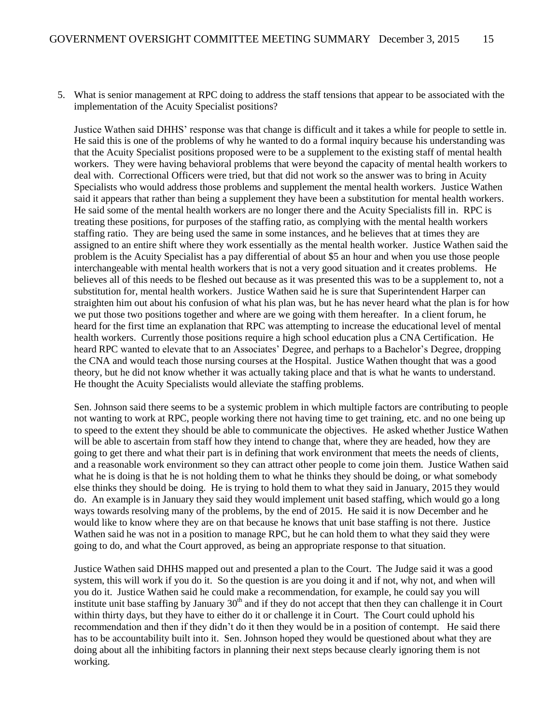5. What is senior management at RPC doing to address the staff tensions that appear to be associated with the implementation of the Acuity Specialist positions?

Justice Wathen said DHHS' response was that change is difficult and it takes a while for people to settle in. He said this is one of the problems of why he wanted to do a formal inquiry because his understanding was that the Acuity Specialist positions proposed were to be a supplement to the existing staff of mental health workers. They were having behavioral problems that were beyond the capacity of mental health workers to deal with. Correctional Officers were tried, but that did not work so the answer was to bring in Acuity Specialists who would address those problems and supplement the mental health workers. Justice Wathen said it appears that rather than being a supplement they have been a substitution for mental health workers. He said some of the mental health workers are no longer there and the Acuity Specialists fill in. RPC is treating these positions, for purposes of the staffing ratio, as complying with the mental health workers staffing ratio. They are being used the same in some instances, and he believes that at times they are assigned to an entire shift where they work essentially as the mental health worker. Justice Wathen said the problem is the Acuity Specialist has a pay differential of about \$5 an hour and when you use those people interchangeable with mental health workers that is not a very good situation and it creates problems. He believes all of this needs to be fleshed out because as it was presented this was to be a supplement to, not a substitution for, mental health workers. Justice Wathen said he is sure that Superintendent Harper can straighten him out about his confusion of what his plan was, but he has never heard what the plan is for how we put those two positions together and where are we going with them hereafter. In a client forum, he heard for the first time an explanation that RPC was attempting to increase the educational level of mental health workers. Currently those positions require a high school education plus a CNA Certification. He heard RPC wanted to elevate that to an Associates' Degree, and perhaps to a Bachelor's Degree, dropping the CNA and would teach those nursing courses at the Hospital. Justice Wathen thought that was a good theory, but he did not know whether it was actually taking place and that is what he wants to understand. He thought the Acuity Specialists would alleviate the staffing problems.

Sen. Johnson said there seems to be a systemic problem in which multiple factors are contributing to people not wanting to work at RPC, people working there not having time to get training, etc. and no one being up to speed to the extent they should be able to communicate the objectives. He asked whether Justice Wathen will be able to ascertain from staff how they intend to change that, where they are headed, how they are going to get there and what their part is in defining that work environment that meets the needs of clients, and a reasonable work environment so they can attract other people to come join them. Justice Wathen said what he is doing is that he is not holding them to what he thinks they should be doing, or what somebody else thinks they should be doing. He is trying to hold them to what they said in January, 2015 they would do. An example is in January they said they would implement unit based staffing, which would go a long ways towards resolving many of the problems, by the end of 2015. He said it is now December and he would like to know where they are on that because he knows that unit base staffing is not there. Justice Wathen said he was not in a position to manage RPC, but he can hold them to what they said they were going to do, and what the Court approved, as being an appropriate response to that situation.

Justice Wathen said DHHS mapped out and presented a plan to the Court. The Judge said it was a good system, this will work if you do it. So the question is are you doing it and if not, why not, and when will you do it. Justice Wathen said he could make a recommendation, for example, he could say you will institute unit base staffing by January  $30<sup>th</sup>$  and if they do not accept that then they can challenge it in Court within thirty days, but they have to either do it or challenge it in Court. The Court could uphold his recommendation and then if they didn't do it then they would be in a position of contempt. He said there has to be accountability built into it. Sen. Johnson hoped they would be questioned about what they are doing about all the inhibiting factors in planning their next steps because clearly ignoring them is not working.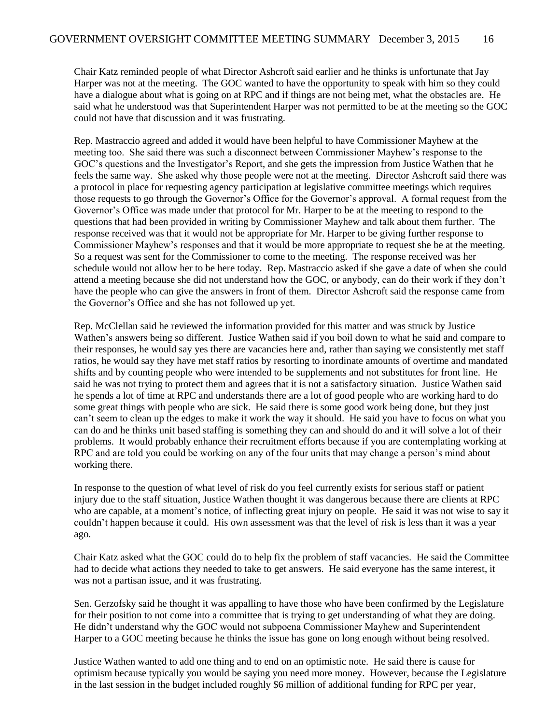Chair Katz reminded people of what Director Ashcroft said earlier and he thinks is unfortunate that Jay Harper was not at the meeting. The GOC wanted to have the opportunity to speak with him so they could have a dialogue about what is going on at RPC and if things are not being met, what the obstacles are. He said what he understood was that Superintendent Harper was not permitted to be at the meeting so the GOC could not have that discussion and it was frustrating.

Rep. Mastraccio agreed and added it would have been helpful to have Commissioner Mayhew at the meeting too. She said there was such a disconnect between Commissioner Mayhew's response to the GOC's questions and the Investigator's Report, and she gets the impression from Justice Wathen that he feels the same way. She asked why those people were not at the meeting. Director Ashcroft said there was a protocol in place for requesting agency participation at legislative committee meetings which requires those requests to go through the Governor's Office for the Governor's approval. A formal request from the Governor's Office was made under that protocol for Mr. Harper to be at the meeting to respond to the questions that had been provided in writing by Commissioner Mayhew and talk about them further. The response received was that it would not be appropriate for Mr. Harper to be giving further response to Commissioner Mayhew's responses and that it would be more appropriate to request she be at the meeting. So a request was sent for the Commissioner to come to the meeting. The response received was her schedule would not allow her to be here today. Rep. Mastraccio asked if she gave a date of when she could attend a meeting because she did not understand how the GOC, or anybody, can do their work if they don't have the people who can give the answers in front of them. Director Ashcroft said the response came from the Governor's Office and she has not followed up yet.

Rep. McClellan said he reviewed the information provided for this matter and was struck by Justice Wathen's answers being so different. Justice Wathen said if you boil down to what he said and compare to their responses, he would say yes there are vacancies here and, rather than saying we consistently met staff ratios, he would say they have met staff ratios by resorting to inordinate amounts of overtime and mandated shifts and by counting people who were intended to be supplements and not substitutes for front line. He said he was not trying to protect them and agrees that it is not a satisfactory situation. Justice Wathen said he spends a lot of time at RPC and understands there are a lot of good people who are working hard to do some great things with people who are sick. He said there is some good work being done, but they just can't seem to clean up the edges to make it work the way it should. He said you have to focus on what you can do and he thinks unit based staffing is something they can and should do and it will solve a lot of their problems. It would probably enhance their recruitment efforts because if you are contemplating working at RPC and are told you could be working on any of the four units that may change a person's mind about working there.

In response to the question of what level of risk do you feel currently exists for serious staff or patient injury due to the staff situation, Justice Wathen thought it was dangerous because there are clients at RPC who are capable, at a moment's notice, of inflecting great injury on people. He said it was not wise to say it couldn't happen because it could. His own assessment was that the level of risk is less than it was a year ago.

Chair Katz asked what the GOC could do to help fix the problem of staff vacancies. He said the Committee had to decide what actions they needed to take to get answers. He said everyone has the same interest, it was not a partisan issue, and it was frustrating.

Sen. Gerzofsky said he thought it was appalling to have those who have been confirmed by the Legislature for their position to not come into a committee that is trying to get understanding of what they are doing. He didn't understand why the GOC would not subpoena Commissioner Mayhew and Superintendent Harper to a GOC meeting because he thinks the issue has gone on long enough without being resolved.

Justice Wathen wanted to add one thing and to end on an optimistic note. He said there is cause for optimism because typically you would be saying you need more money. However, because the Legislature in the last session in the budget included roughly \$6 million of additional funding for RPC per year,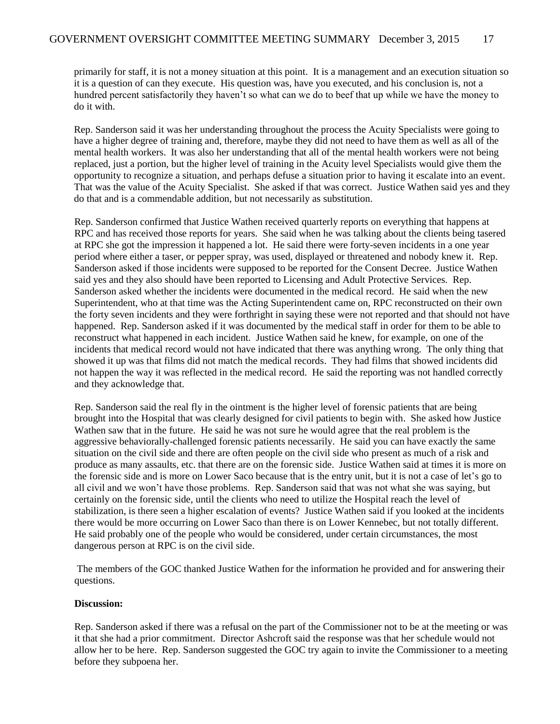primarily for staff, it is not a money situation at this point. It is a management and an execution situation so it is a question of can they execute. His question was, have you executed, and his conclusion is, not a hundred percent satisfactorily they haven't so what can we do to beef that up while we have the money to do it with.

Rep. Sanderson said it was her understanding throughout the process the Acuity Specialists were going to have a higher degree of training and, therefore, maybe they did not need to have them as well as all of the mental health workers. It was also her understanding that all of the mental health workers were not being replaced, just a portion, but the higher level of training in the Acuity level Specialists would give them the opportunity to recognize a situation, and perhaps defuse a situation prior to having it escalate into an event. That was the value of the Acuity Specialist. She asked if that was correct. Justice Wathen said yes and they do that and is a commendable addition, but not necessarily as substitution.

Rep. Sanderson confirmed that Justice Wathen received quarterly reports on everything that happens at RPC and has received those reports for years. She said when he was talking about the clients being tasered at RPC she got the impression it happened a lot. He said there were forty-seven incidents in a one year period where either a taser, or pepper spray, was used, displayed or threatened and nobody knew it. Rep. Sanderson asked if those incidents were supposed to be reported for the Consent Decree. Justice Wathen said yes and they also should have been reported to Licensing and Adult Protective Services. Rep. Sanderson asked whether the incidents were documented in the medical record. He said when the new Superintendent, who at that time was the Acting Superintendent came on, RPC reconstructed on their own the forty seven incidents and they were forthright in saying these were not reported and that should not have happened. Rep. Sanderson asked if it was documented by the medical staff in order for them to be able to reconstruct what happened in each incident. Justice Wathen said he knew, for example, on one of the incidents that medical record would not have indicated that there was anything wrong. The only thing that showed it up was that films did not match the medical records. They had films that showed incidents did not happen the way it was reflected in the medical record. He said the reporting was not handled correctly and they acknowledge that.

Rep. Sanderson said the real fly in the ointment is the higher level of forensic patients that are being brought into the Hospital that was clearly designed for civil patients to begin with. She asked how Justice Wathen saw that in the future. He said he was not sure he would agree that the real problem is the aggressive behaviorally-challenged forensic patients necessarily. He said you can have exactly the same situation on the civil side and there are often people on the civil side who present as much of a risk and produce as many assaults, etc. that there are on the forensic side. Justice Wathen said at times it is more on the forensic side and is more on Lower Saco because that is the entry unit, but it is not a case of let's go to all civil and we won't have those problems. Rep. Sanderson said that was not what she was saying, but certainly on the forensic side, until the clients who need to utilize the Hospital reach the level of stabilization, is there seen a higher escalation of events? Justice Wathen said if you looked at the incidents there would be more occurring on Lower Saco than there is on Lower Kennebec, but not totally different. He said probably one of the people who would be considered, under certain circumstances, the most dangerous person at RPC is on the civil side.

The members of the GOC thanked Justice Wathen for the information he provided and for answering their questions.

#### **Discussion:**

Rep. Sanderson asked if there was a refusal on the part of the Commissioner not to be at the meeting or was it that she had a prior commitment. Director Ashcroft said the response was that her schedule would not allow her to be here. Rep. Sanderson suggested the GOC try again to invite the Commissioner to a meeting before they subpoena her.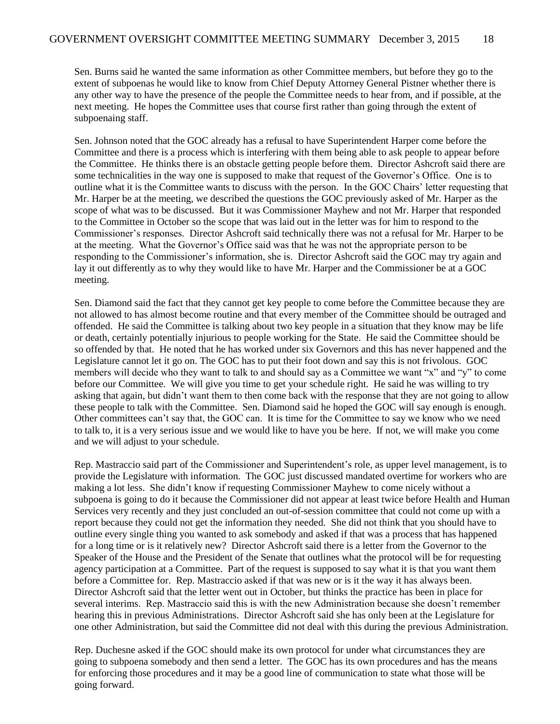Sen. Burns said he wanted the same information as other Committee members, but before they go to the extent of subpoenas he would like to know from Chief Deputy Attorney General Pistner whether there is any other way to have the presence of the people the Committee needs to hear from, and if possible, at the next meeting. He hopes the Committee uses that course first rather than going through the extent of subpoenaing staff.

Sen. Johnson noted that the GOC already has a refusal to have Superintendent Harper come before the Committee and there is a process which is interfering with them being able to ask people to appear before the Committee. He thinks there is an obstacle getting people before them. Director Ashcroft said there are some technicalities in the way one is supposed to make that request of the Governor's Office. One is to outline what it is the Committee wants to discuss with the person. In the GOC Chairs' letter requesting that Mr. Harper be at the meeting, we described the questions the GOC previously asked of Mr. Harper as the scope of what was to be discussed. But it was Commissioner Mayhew and not Mr. Harper that responded to the Committee in October so the scope that was laid out in the letter was for him to respond to the Commissioner's responses. Director Ashcroft said technically there was not a refusal for Mr. Harper to be at the meeting. What the Governor's Office said was that he was not the appropriate person to be responding to the Commissioner's information, she is. Director Ashcroft said the GOC may try again and lay it out differently as to why they would like to have Mr. Harper and the Commissioner be at a GOC meeting.

Sen. Diamond said the fact that they cannot get key people to come before the Committee because they are not allowed to has almost become routine and that every member of the Committee should be outraged and offended. He said the Committee is talking about two key people in a situation that they know may be life or death, certainly potentially injurious to people working for the State. He said the Committee should be so offended by that. He noted that he has worked under six Governors and this has never happened and the Legislature cannot let it go on. The GOC has to put their foot down and say this is not frivolous. GOC members will decide who they want to talk to and should say as a Committee we want "x" and "y" to come before our Committee. We will give you time to get your schedule right. He said he was willing to try asking that again, but didn't want them to then come back with the response that they are not going to allow these people to talk with the Committee. Sen. Diamond said he hoped the GOC will say enough is enough. Other committees can't say that, the GOC can. It is time for the Committee to say we know who we need to talk to, it is a very serious issue and we would like to have you be here. If not, we will make you come and we will adjust to your schedule.

Rep. Mastraccio said part of the Commissioner and Superintendent's role, as upper level management, is to provide the Legislature with information. The GOC just discussed mandated overtime for workers who are making a lot less. She didn't know if requesting Commissioner Mayhew to come nicely without a subpoena is going to do it because the Commissioner did not appear at least twice before Health and Human Services very recently and they just concluded an out-of-session committee that could not come up with a report because they could not get the information they needed. She did not think that you should have to outline every single thing you wanted to ask somebody and asked if that was a process that has happened for a long time or is it relatively new? Director Ashcroft said there is a letter from the Governor to the Speaker of the House and the President of the Senate that outlines what the protocol will be for requesting agency participation at a Committee. Part of the request is supposed to say what it is that you want them before a Committee for. Rep. Mastraccio asked if that was new or is it the way it has always been. Director Ashcroft said that the letter went out in October, but thinks the practice has been in place for several interims. Rep. Mastraccio said this is with the new Administration because she doesn't remember hearing this in previous Administrations. Director Ashcroft said she has only been at the Legislature for one other Administration, but said the Committee did not deal with this during the previous Administration.

Rep. Duchesne asked if the GOC should make its own protocol for under what circumstances they are going to subpoena somebody and then send a letter. The GOC has its own procedures and has the means for enforcing those procedures and it may be a good line of communication to state what those will be going forward.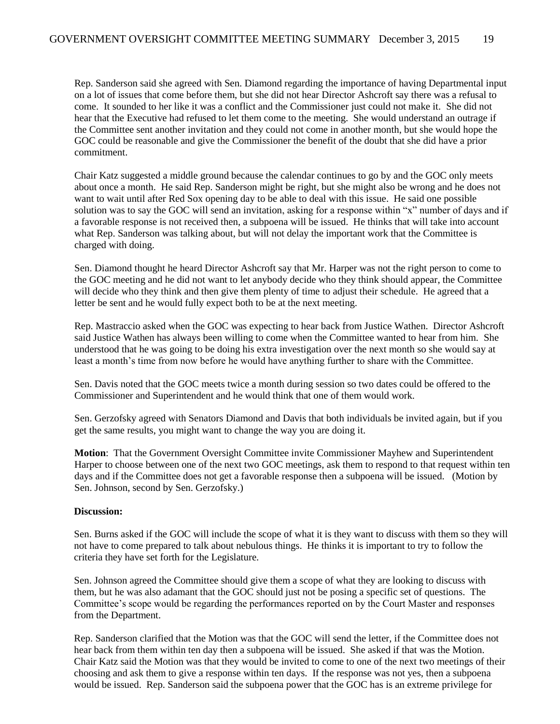Rep. Sanderson said she agreed with Sen. Diamond regarding the importance of having Departmental input on a lot of issues that come before them, but she did not hear Director Ashcroft say there was a refusal to come. It sounded to her like it was a conflict and the Commissioner just could not make it. She did not hear that the Executive had refused to let them come to the meeting. She would understand an outrage if the Committee sent another invitation and they could not come in another month, but she would hope the GOC could be reasonable and give the Commissioner the benefit of the doubt that she did have a prior commitment.

Chair Katz suggested a middle ground because the calendar continues to go by and the GOC only meets about once a month. He said Rep. Sanderson might be right, but she might also be wrong and he does not want to wait until after Red Sox opening day to be able to deal with this issue. He said one possible solution was to say the GOC will send an invitation, asking for a response within "x" number of days and if a favorable response is not received then, a subpoena will be issued. He thinks that will take into account what Rep. Sanderson was talking about, but will not delay the important work that the Committee is charged with doing.

Sen. Diamond thought he heard Director Ashcroft say that Mr. Harper was not the right person to come to the GOC meeting and he did not want to let anybody decide who they think should appear, the Committee will decide who they think and then give them plenty of time to adjust their schedule. He agreed that a letter be sent and he would fully expect both to be at the next meeting.

Rep. Mastraccio asked when the GOC was expecting to hear back from Justice Wathen. Director Ashcroft said Justice Wathen has always been willing to come when the Committee wanted to hear from him. She understood that he was going to be doing his extra investigation over the next month so she would say at least a month's time from now before he would have anything further to share with the Committee.

Sen. Davis noted that the GOC meets twice a month during session so two dates could be offered to the Commissioner and Superintendent and he would think that one of them would work.

Sen. Gerzofsky agreed with Senators Diamond and Davis that both individuals be invited again, but if you get the same results, you might want to change the way you are doing it.

**Motion**: That the Government Oversight Committee invite Commissioner Mayhew and Superintendent Harper to choose between one of the next two GOC meetings, ask them to respond to that request within ten days and if the Committee does not get a favorable response then a subpoena will be issued. (Motion by Sen. Johnson, second by Sen. Gerzofsky.)

#### **Discussion:**

Sen. Burns asked if the GOC will include the scope of what it is they want to discuss with them so they will not have to come prepared to talk about nebulous things. He thinks it is important to try to follow the criteria they have set forth for the Legislature.

Sen. Johnson agreed the Committee should give them a scope of what they are looking to discuss with them, but he was also adamant that the GOC should just not be posing a specific set of questions. The Committee's scope would be regarding the performances reported on by the Court Master and responses from the Department.

Rep. Sanderson clarified that the Motion was that the GOC will send the letter, if the Committee does not hear back from them within ten day then a subpoena will be issued. She asked if that was the Motion. Chair Katz said the Motion was that they would be invited to come to one of the next two meetings of their choosing and ask them to give a response within ten days. If the response was not yes, then a subpoena would be issued. Rep. Sanderson said the subpoena power that the GOC has is an extreme privilege for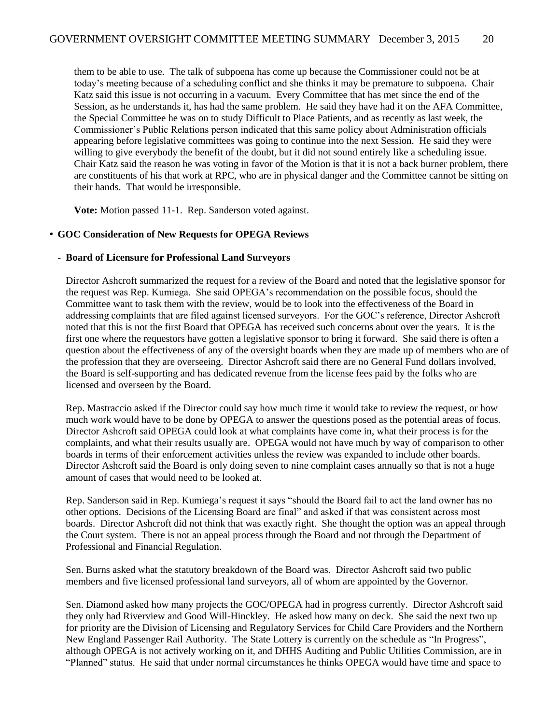them to be able to use. The talk of subpoena has come up because the Commissioner could not be at today's meeting because of a scheduling conflict and she thinks it may be premature to subpoena. Chair Katz said this issue is not occurring in a vacuum. Every Committee that has met since the end of the Session, as he understands it, has had the same problem. He said they have had it on the AFA Committee, the Special Committee he was on to study Difficult to Place Patients, and as recently as last week, the Commissioner's Public Relations person indicated that this same policy about Administration officials appearing before legislative committees was going to continue into the next Session. He said they were willing to give everybody the benefit of the doubt, but it did not sound entirely like a scheduling issue. Chair Katz said the reason he was voting in favor of the Motion is that it is not a back burner problem, there are constituents of his that work at RPC, who are in physical danger and the Committee cannot be sitting on their hands. That would be irresponsible.

**Vote:** Motion passed 11-1. Rep. Sanderson voted against.

#### • **GOC Consideration of New Requests for OPEGA Reviews**

#### - **Board of Licensure for Professional Land Surveyors**

Director Ashcroft summarized the request for a review of the Board and noted that the legislative sponsor for the request was Rep. Kumiega. She said OPEGA's recommendation on the possible focus, should the Committee want to task them with the review, would be to look into the effectiveness of the Board in addressing complaints that are filed against licensed surveyors. For the GOC's reference, Director Ashcroft noted that this is not the first Board that OPEGA has received such concerns about over the years. It is the first one where the requestors have gotten a legislative sponsor to bring it forward. She said there is often a question about the effectiveness of any of the oversight boards when they are made up of members who are of the profession that they are overseeing. Director Ashcroft said there are no General Fund dollars involved, the Board is self-supporting and has dedicated revenue from the license fees paid by the folks who are licensed and overseen by the Board.

Rep. Mastraccio asked if the Director could say how much time it would take to review the request, or how much work would have to be done by OPEGA to answer the questions posed as the potential areas of focus. Director Ashcroft said OPEGA could look at what complaints have come in, what their process is for the complaints, and what their results usually are. OPEGA would not have much by way of comparison to other boards in terms of their enforcement activities unless the review was expanded to include other boards. Director Ashcroft said the Board is only doing seven to nine complaint cases annually so that is not a huge amount of cases that would need to be looked at.

Rep. Sanderson said in Rep. Kumiega's request it says "should the Board fail to act the land owner has no other options. Decisions of the Licensing Board are final" and asked if that was consistent across most boards. Director Ashcroft did not think that was exactly right. She thought the option was an appeal through the Court system. There is not an appeal process through the Board and not through the Department of Professional and Financial Regulation.

Sen. Burns asked what the statutory breakdown of the Board was. Director Ashcroft said two public members and five licensed professional land surveyors, all of whom are appointed by the Governor.

Sen. Diamond asked how many projects the GOC/OPEGA had in progress currently. Director Ashcroft said they only had Riverview and Good Will-Hinckley. He asked how many on deck. She said the next two up for priority are the Division of Licensing and Regulatory Services for Child Care Providers and the Northern New England Passenger Rail Authority. The State Lottery is currently on the schedule as "In Progress", although OPEGA is not actively working on it, and DHHS Auditing and Public Utilities Commission, are in "Planned" status. He said that under normal circumstances he thinks OPEGA would have time and space to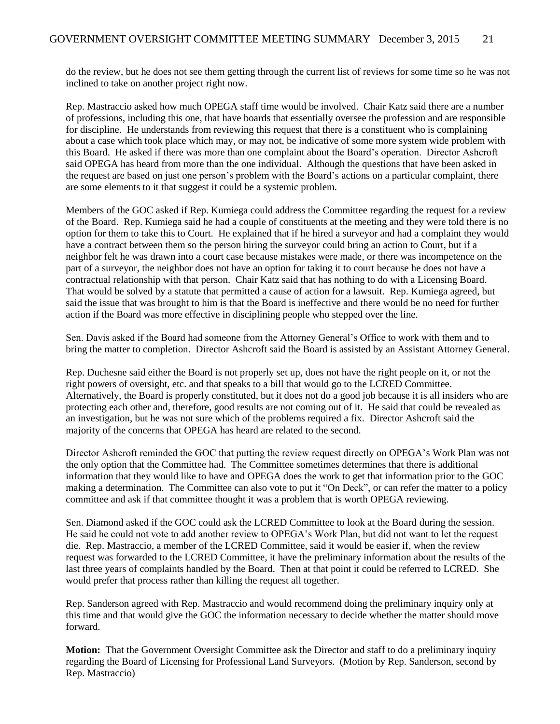do the review, but he does not see them getting through the current list of reviews for some time so he was not inclined to take on another project right now.

Rep. Mastraccio asked how much OPEGA staff time would be involved. Chair Katz said there are a number of professions, including this one, that have boards that essentially oversee the profession and are responsible for discipline. He understands from reviewing this request that there is a constituent who is complaining about a case which took place which may, or may not, be indicative of some more system wide problem with this Board. He asked if there was more than one complaint about the Board's operation. Director Ashcroft said OPEGA has heard from more than the one individual. Although the questions that have been asked in the request are based on just one person's problem with the Board's actions on a particular complaint, there are some elements to it that suggest it could be a systemic problem.

Members of the GOC asked if Rep. Kumiega could address the Committee regarding the request for a review of the Board. Rep. Kumiega said he had a couple of constituents at the meeting and they were told there is no option for them to take this to Court. He explained that if he hired a surveyor and had a complaint they would have a contract between them so the person hiring the surveyor could bring an action to Court, but if a neighbor felt he was drawn into a court case because mistakes were made, or there was incompetence on the part of a surveyor, the neighbor does not have an option for taking it to court because he does not have a contractual relationship with that person. Chair Katz said that has nothing to do with a Licensing Board. That would be solved by a statute that permitted a cause of action for a lawsuit. Rep. Kumiega agreed, but said the issue that was brought to him is that the Board is ineffective and there would be no need for further action if the Board was more effective in disciplining people who stepped over the line.

Sen. Davis asked if the Board had someone from the Attorney General's Office to work with them and to bring the matter to completion. Director Ashcroft said the Board is assisted by an Assistant Attorney General.

Rep. Duchesne said either the Board is not properly set up, does not have the right people on it, or not the right powers of oversight, etc. and that speaks to a bill that would go to the LCRED Committee. Alternatively, the Board is properly constituted, but it does not do a good job because it is all insiders who are protecting each other and, therefore, good results are not coming out of it. He said that could be revealed as an investigation, but he was not sure which of the problems required a fix. Director Ashcroft said the majority of the concerns that OPEGA has heard are related to the second.

Director Ashcroft reminded the GOC that putting the review request directly on OPEGA's Work Plan was not the only option that the Committee had. The Committee sometimes determines that there is additional information that they would like to have and OPEGA does the work to get that information prior to the GOC making a determination. The Committee can also vote to put it "On Deck", or can refer the matter to a policy committee and ask if that committee thought it was a problem that is worth OPEGA reviewing.

Sen. Diamond asked if the GOC could ask the LCRED Committee to look at the Board during the session. He said he could not vote to add another review to OPEGA's Work Plan, but did not want to let the request die. Rep. Mastraccio, a member of the LCRED Committee, said it would be easier if, when the review request was forwarded to the LCRED Committee, it have the preliminary information about the results of the last three years of complaints handled by the Board. Then at that point it could be referred to LCRED. She would prefer that process rather than killing the request all together.

Rep. Sanderson agreed with Rep. Mastraccio and would recommend doing the preliminary inquiry only at this time and that would give the GOC the information necessary to decide whether the matter should move forward.

**Motion:** That the Government Oversight Committee ask the Director and staff to do a preliminary inquiry regarding the Board of Licensing for Professional Land Surveyors. (Motion by Rep. Sanderson, second by Rep. Mastraccio)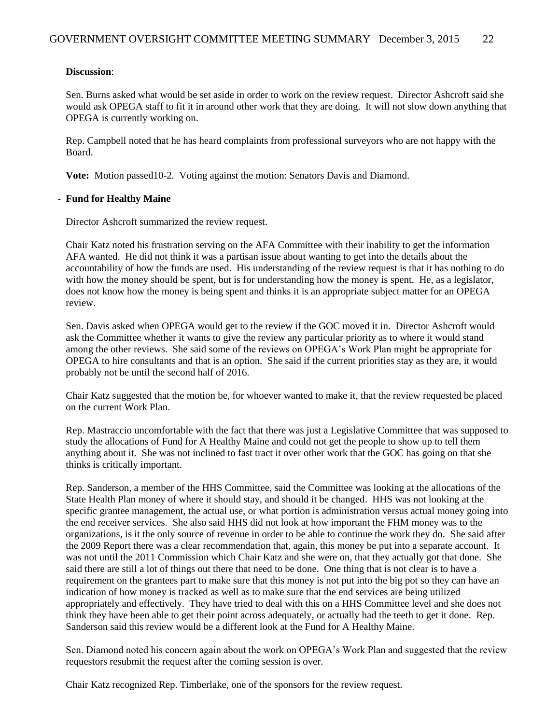#### **Discussion**:

Sen. Burns asked what would be set aside in order to work on the review request. Director Ashcroft said she would ask OPEGA staff to fit it in around other work that they are doing. It will not slow down anything that OPEGA is currently working on.

Rep. Campbell noted that he has heard complaints from professional surveyors who are not happy with the Board.

**Vote:** Motion passed10-2. Voting against the motion: Senators Davis and Diamond.

#### - **Fund for Healthy Maine**

Director Ashcroft summarized the review request.

Chair Katz noted his frustration serving on the AFA Committee with their inability to get the information AFA wanted. He did not think it was a partisan issue about wanting to get into the details about the accountability of how the funds are used. His understanding of the review request is that it has nothing to do with how the money should be spent, but is for understanding how the money is spent. He, as a legislator, does not know how the money is being spent and thinks it is an appropriate subject matter for an OPEGA review.

Sen. Davis asked when OPEGA would get to the review if the GOC moved it in. Director Ashcroft would ask the Committee whether it wants to give the review any particular priority as to where it would stand among the other reviews. She said some of the reviews on OPEGA's Work Plan might be appropriate for OPEGA to hire consultants and that is an option. She said if the current priorities stay as they are, it would probably not be until the second half of 2016.

Chair Katz suggested that the motion be, for whoever wanted to make it, that the review requested be placed on the current Work Plan.

Rep. Mastraccio uncomfortable with the fact that there was just a Legislative Committee that was supposed to study the allocations of Fund for A Healthy Maine and could not get the people to show up to tell them anything about it. She was not inclined to fast tract it over other work that the GOC has going on that she thinks is critically important.

Rep. Sanderson, a member of the HHS Committee, said the Committee was looking at the allocations of the State Health Plan money of where it should stay, and should it be changed. HHS was not looking at the specific grantee management, the actual use, or what portion is administration versus actual money going into the end receiver services. She also said HHS did not look at how important the FHM money was to the organizations, is it the only source of revenue in order to be able to continue the work they do. She said after the 2009 Report there was a clear recommendation that, again, this money be put into a separate account. It was not until the 2011 Commission which Chair Katz and she were on, that they actually got that done. She said there are still a lot of things out there that need to be done. One thing that is not clear is to have a requirement on the grantees part to make sure that this money is not put into the big pot so they can have an indication of how money is tracked as well as to make sure that the end services are being utilized appropriately and effectively. They have tried to deal with this on a HHS Committee level and she does not think they have been able to get their point across adequately, or actually had the teeth to get it done. Rep. Sanderson said this review would be a different look at the Fund for A Healthy Maine.

Sen. Diamond noted his concern again about the work on OPEGA's Work Plan and suggested that the review requestors resubmit the request after the coming session is over.

Chair Katz recognized Rep. Timberlake, one of the sponsors for the review request.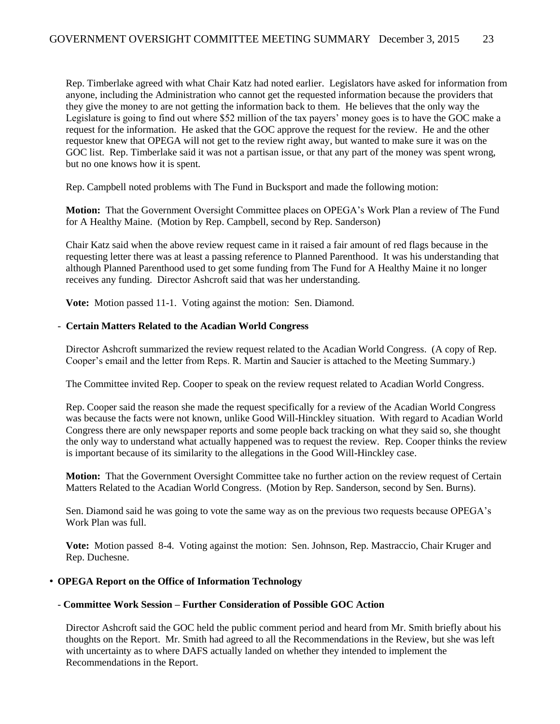Rep. Timberlake agreed with what Chair Katz had noted earlier. Legislators have asked for information from anyone, including the Administration who cannot get the requested information because the providers that they give the money to are not getting the information back to them. He believes that the only way the Legislature is going to find out where \$52 million of the tax payers' money goes is to have the GOC make a request for the information. He asked that the GOC approve the request for the review. He and the other requestor knew that OPEGA will not get to the review right away, but wanted to make sure it was on the GOC list. Rep. Timberlake said it was not a partisan issue, or that any part of the money was spent wrong, but no one knows how it is spent.

Rep. Campbell noted problems with The Fund in Bucksport and made the following motion:

**Motion:** That the Government Oversight Committee places on OPEGA's Work Plan a review of The Fund for A Healthy Maine. (Motion by Rep. Campbell, second by Rep. Sanderson)

Chair Katz said when the above review request came in it raised a fair amount of red flags because in the requesting letter there was at least a passing reference to Planned Parenthood. It was his understanding that although Planned Parenthood used to get some funding from The Fund for A Healthy Maine it no longer receives any funding. Director Ashcroft said that was her understanding.

**Vote:** Motion passed 11-1. Voting against the motion: Sen. Diamond.

#### - **Certain Matters Related to the Acadian World Congress**

Director Ashcroft summarized the review request related to the Acadian World Congress. (A copy of Rep. Cooper's email and the letter from Reps. R. Martin and Saucier is attached to the Meeting Summary.)

The Committee invited Rep. Cooper to speak on the review request related to Acadian World Congress.

Rep. Cooper said the reason she made the request specifically for a review of the Acadian World Congress was because the facts were not known, unlike Good Will-Hinckley situation. With regard to Acadian World Congress there are only newspaper reports and some people back tracking on what they said so, she thought the only way to understand what actually happened was to request the review. Rep. Cooper thinks the review is important because of its similarity to the allegations in the Good Will-Hinckley case.

**Motion:** That the Government Oversight Committee take no further action on the review request of Certain Matters Related to the Acadian World Congress. (Motion by Rep. Sanderson, second by Sen. Burns).

Sen. Diamond said he was going to vote the same way as on the previous two requests because OPEGA's Work Plan was full.

**Vote:** Motion passed 8-4. Voting against the motion: Sen. Johnson, Rep. Mastraccio, Chair Kruger and Rep. Duchesne.

#### • **OPEGA Report on the Office of Information Technology**

#### - **Committee Work Session – Further Consideration of Possible GOC Action**

Director Ashcroft said the GOC held the public comment period and heard from Mr. Smith briefly about his thoughts on the Report. Mr. Smith had agreed to all the Recommendations in the Review, but she was left with uncertainty as to where DAFS actually landed on whether they intended to implement the Recommendations in the Report.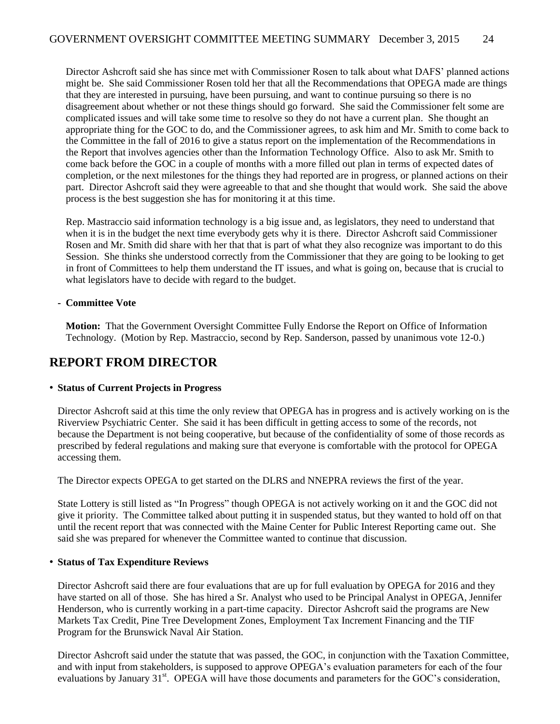Director Ashcroft said she has since met with Commissioner Rosen to talk about what DAFS' planned actions might be. She said Commissioner Rosen told her that all the Recommendations that OPEGA made are things that they are interested in pursuing, have been pursuing, and want to continue pursuing so there is no disagreement about whether or not these things should go forward. She said the Commissioner felt some are complicated issues and will take some time to resolve so they do not have a current plan. She thought an appropriate thing for the GOC to do, and the Commissioner agrees, to ask him and Mr. Smith to come back to the Committee in the fall of 2016 to give a status report on the implementation of the Recommendations in the Report that involves agencies other than the Information Technology Office. Also to ask Mr. Smith to come back before the GOC in a couple of months with a more filled out plan in terms of expected dates of completion, or the next milestones for the things they had reported are in progress, or planned actions on their part. Director Ashcroft said they were agreeable to that and she thought that would work. She said the above process is the best suggestion she has for monitoring it at this time.

Rep. Mastraccio said information technology is a big issue and, as legislators, they need to understand that when it is in the budget the next time everybody gets why it is there. Director Ashcroft said Commissioner Rosen and Mr. Smith did share with her that that is part of what they also recognize was important to do this Session. She thinks she understood correctly from the Commissioner that they are going to be looking to get in front of Committees to help them understand the IT issues, and what is going on, because that is crucial to what legislators have to decide with regard to the budget.

#### **- Committee Vote**

**Motion:** That the Government Oversight Committee Fully Endorse the Report on Office of Information Technology. (Motion by Rep. Mastraccio, second by Rep. Sanderson, passed by unanimous vote 12-0.)

## **REPORT FROM DIRECTOR**

#### • **Status of Current Projects in Progress**

Director Ashcroft said at this time the only review that OPEGA has in progress and is actively working on is the Riverview Psychiatric Center. She said it has been difficult in getting access to some of the records, not because the Department is not being cooperative, but because of the confidentiality of some of those records as prescribed by federal regulations and making sure that everyone is comfortable with the protocol for OPEGA accessing them.

The Director expects OPEGA to get started on the DLRS and NNEPRA reviews the first of the year.

State Lottery is still listed as "In Progress" though OPEGA is not actively working on it and the GOC did not give it priority. The Committee talked about putting it in suspended status, but they wanted to hold off on that until the recent report that was connected with the Maine Center for Public Interest Reporting came out. She said she was prepared for whenever the Committee wanted to continue that discussion.

#### • **Status of Tax Expenditure Reviews**

Director Ashcroft said there are four evaluations that are up for full evaluation by OPEGA for 2016 and they have started on all of those. She has hired a Sr. Analyst who used to be Principal Analyst in OPEGA, Jennifer Henderson, who is currently working in a part-time capacity. Director Ashcroft said the programs are New Markets Tax Credit, Pine Tree Development Zones, Employment Tax Increment Financing and the TIF Program for the Brunswick Naval Air Station.

Director Ashcroft said under the statute that was passed, the GOC, in conjunction with the Taxation Committee, and with input from stakeholders, is supposed to approve OPEGA's evaluation parameters for each of the four evaluations by January 31<sup>st</sup>. OPEGA will have those documents and parameters for the GOC's consideration,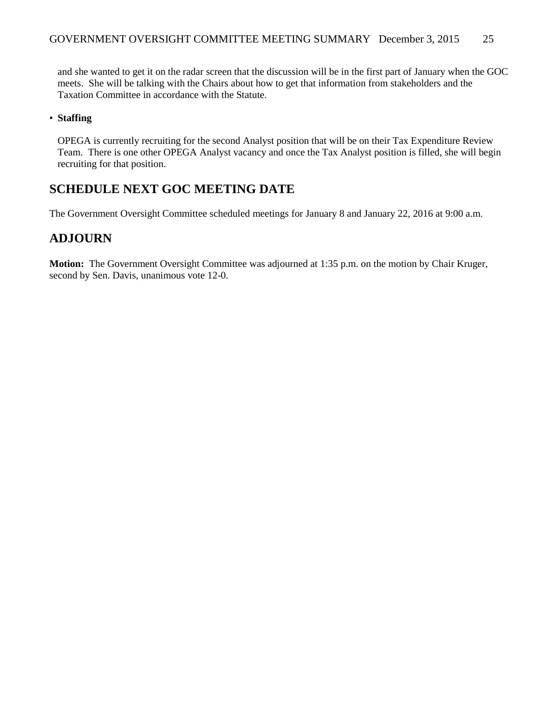and she wanted to get it on the radar screen that the discussion will be in the first part of January when the GOC meets. She will be talking with the Chairs about how to get that information from stakeholders and the Taxation Committee in accordance with the Statute.

#### • **Staffing**

OPEGA is currently recruiting for the second Analyst position that will be on their Tax Expenditure Review Team. There is one other OPEGA Analyst vacancy and once the Tax Analyst position is filled, she will begin recruiting for that position.

## **SCHEDULE NEXT GOC MEETING DATE**

The Government Oversight Committee scheduled meetings for January 8 and January 22, 2016 at 9:00 a.m.

# **ADJOURN**

**Motion:** The Government Oversight Committee was adjourned at 1:35 p.m. on the motion by Chair Kruger, second by Sen. Davis, unanimous vote 12-0.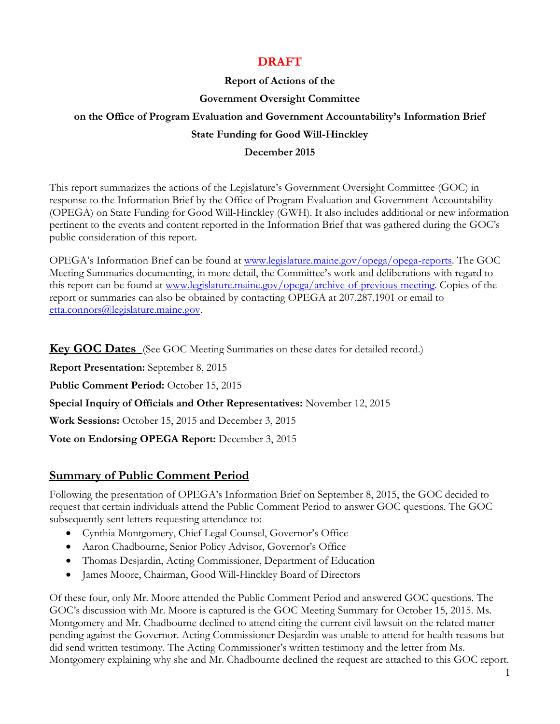# **DRAFT**

### **Report of Actions of the**

### **Government Oversight Committee**

# **on the Office of Program Evaluation and Government Accountability's Information Brief State Funding for Good Will-Hinckley**

### **December 2015**

This report summarizes the actions of the Legislature's Government Oversight Committee (GOC) in response to the Information Brief by the Office of Program Evaluation and Government Accountability (OPEGA) on State Funding for Good Will-Hinckley (GWH). It also includes additional or new information pertinent to the events and content reported in the Information Brief that was gathered during the GOC's public consideration of this report.

OPEGA's Information Brief can be found at [www.legislature.maine.gov/opega/opega-reports.](http://www.legislature.maine.gov/opega/opega-reports) The GOC Meeting Summaries documenting, in more detail, the Committee's work and deliberations with regard to this report can be found at [www.legislature.maine.gov/opega/archive-of-previous-meeting.](http://www.legislature.maine.gov/opega/archive-of-previous-meeting) Copies of the report or summaries can also be obtained by contacting OPEGA at 207.287.1901 or email to [etta.connors@legislature.maine.gov.](mailto:etta.connors@legislature.maine.gov)

**Key GOC Dates** (See GOC Meeting Summaries on these dates for detailed record.)

**Report Presentation:** September 8, 2015

**Public Comment Period:** October 15, 2015

**Special Inquiry of Officials and Other Representatives:** November 12, 2015

**Work Sessions:** October 15, 2015 and December 3, 2015

**Vote on Endorsing OPEGA Report:** December 3, 2015

## **Summary of Public Comment Period**

Following the presentation of OPEGA's Information Brief on September 8, 2015, the GOC decided to request that certain individuals attend the Public Comment Period to answer GOC questions. The GOC subsequently sent letters requesting attendance to:

- Cynthia Montgomery, Chief Legal Counsel, Governor's Office
- Aaron Chadbourne, Senior Policy Advisor, Governor's Office
- Thomas Desjardin, Acting Commissioner, Department of Education
- James Moore, Chairman, Good Will-Hinckley Board of Directors

Of these four, only Mr. Moore attended the Public Comment Period and answered GOC questions. The GOC's discussion with Mr. Moore is captured is the GOC Meeting Summary for October 15, 2015. Ms. Montgomery and Mr. Chadbourne declined to attend citing the current civil lawsuit on the related matter pending against the Governor. Acting Commissioner Desjardin was unable to attend for health reasons but did send written testimony. The Acting Commissioner's written testimony and the letter from Ms. Montgomery explaining why she and Mr. Chadbourne declined the request are attached to this GOC report.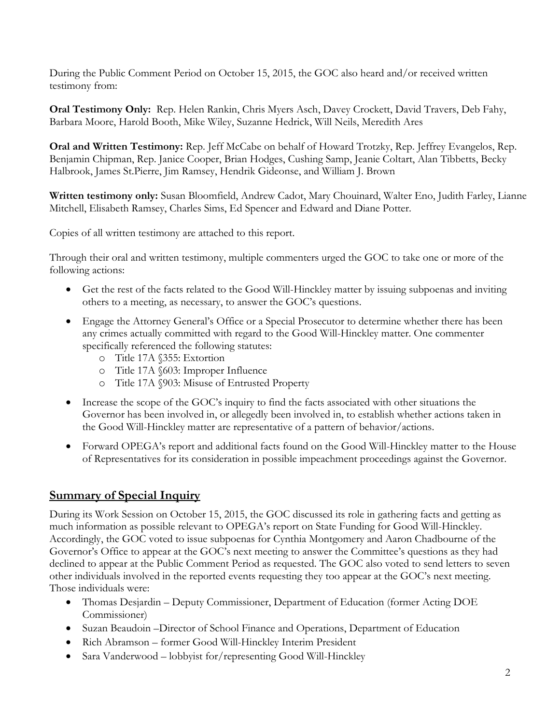During the Public Comment Period on October 15, 2015, the GOC also heard and/or received written testimony from:

**Oral Testimony Only:** Rep. Helen Rankin, Chris Myers Asch, Davey Crockett, David Travers, Deb Fahy, Barbara Moore, Harold Booth, Mike Wiley, Suzanne Hedrick, Will Neils, Meredith Ares

**Oral and Written Testimony:** Rep. Jeff McCabe on behalf of Howard Trotzky, Rep. Jeffrey Evangelos, Rep. Benjamin Chipman, Rep. Janice Cooper, Brian Hodges, Cushing Samp, Jeanie Coltart, Alan Tibbetts, Becky Halbrook, James St.Pierre, Jim Ramsey, Hendrik Gideonse, and William J. Brown

**Written testimony only:** Susan Bloomfield, Andrew Cadot, Mary Chouinard, Walter Eno, Judith Farley, Lianne Mitchell, Elisabeth Ramsey, Charles Sims, Ed Spencer and Edward and Diane Potter.

Copies of all written testimony are attached to this report.

Through their oral and written testimony, multiple commenters urged the GOC to take one or more of the following actions:

- Get the rest of the facts related to the Good Will-Hinckley matter by issuing subpoenas and inviting others to a meeting, as necessary, to answer the GOC's questions.
- Engage the Attorney General's Office or a Special Prosecutor to determine whether there has been any crimes actually committed with regard to the Good Will-Hinckley matter. One commenter specifically referenced the following statutes:
	- o Title 17A §355: Extortion
	- o Title 17A §603: Improper Influence
	- o Title 17A §903: Misuse of Entrusted Property
- Increase the scope of the GOC's inquiry to find the facts associated with other situations the Governor has been involved in, or allegedly been involved in, to establish whether actions taken in the Good Will-Hinckley matter are representative of a pattern of behavior/actions.
- Forward OPEGA's report and additional facts found on the Good Will-Hinckley matter to the House of Representatives for its consideration in possible impeachment proceedings against the Governor.

## **Summary of Special Inquiry**

During its Work Session on October 15, 2015, the GOC discussed its role in gathering facts and getting as much information as possible relevant to OPEGA's report on State Funding for Good Will-Hinckley. Accordingly, the GOC voted to issue subpoenas for Cynthia Montgomery and Aaron Chadbourne of the Governor's Office to appear at the GOC's next meeting to answer the Committee's questions as they had declined to appear at the Public Comment Period as requested. The GOC also voted to send letters to seven other individuals involved in the reported events requesting they too appear at the GOC's next meeting. Those individuals were:

- Thomas Desjardin Deputy Commissioner, Department of Education (former Acting DOE Commissioner)
- Suzan Beaudoin –Director of School Finance and Operations, Department of Education
- Rich Abramson former Good Will-Hinckley Interim President
- Sara Vanderwood lobbyist for/representing Good Will-Hinckley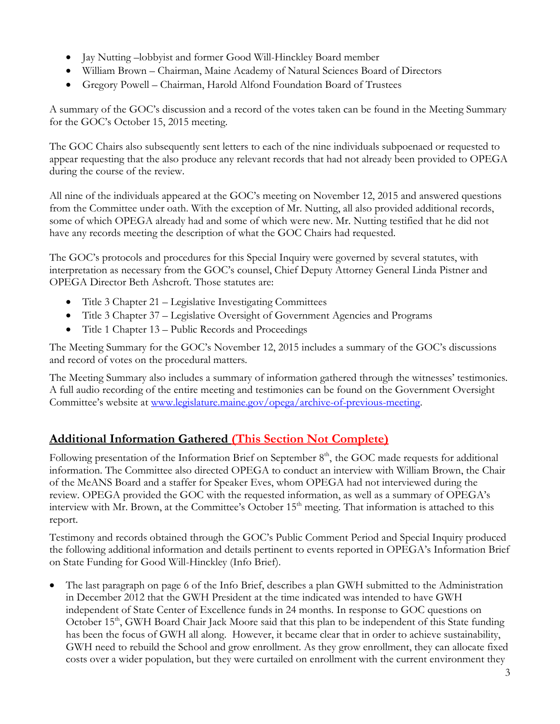- Jay Nutting –lobbyist and former Good Will-Hinckley Board member
- William Brown Chairman, Maine Academy of Natural Sciences Board of Directors
- Gregory Powell Chairman, Harold Alfond Foundation Board of Trustees

A summary of the GOC's discussion and a record of the votes taken can be found in the Meeting Summary for the GOC's October 15, 2015 meeting.

The GOC Chairs also subsequently sent letters to each of the nine individuals subpoenaed or requested to appear requesting that the also produce any relevant records that had not already been provided to OPEGA during the course of the review.

All nine of the individuals appeared at the GOC's meeting on November 12, 2015 and answered questions from the Committee under oath. With the exception of Mr. Nutting, all also provided additional records, some of which OPEGA already had and some of which were new. Mr. Nutting testified that he did not have any records meeting the description of what the GOC Chairs had requested.

The GOC's protocols and procedures for this Special Inquiry were governed by several statutes, with interpretation as necessary from the GOC's counsel, Chief Deputy Attorney General Linda Pistner and OPEGA Director Beth Ashcroft. Those statutes are:

- Title 3 Chapter 21 Legislative Investigating Committees
- Title 3 Chapter 37 Legislative Oversight of Government Agencies and Programs
- Title 1 Chapter 13 Public Records and Proceedings

The Meeting Summary for the GOC's November 12, 2015 includes a summary of the GOC's discussions and record of votes on the procedural matters.

The Meeting Summary also includes a summary of information gathered through the witnesses' testimonies. A full audio recording of the entire meeting and testimonies can be found on the Government Oversight Committee's website at [www.legislature.maine.gov/opega/archive-of-previous-meeting.](http://www.legislature.maine.gov/opega/archive-of-previous-meeting)

# **Additional Information Gathered (This Section Not Complete)**

Following presentation of the Information Brief on September 8<sup>th</sup>, the GOC made requests for additional information. The Committee also directed OPEGA to conduct an interview with William Brown, the Chair of the MeANS Board and a staffer for Speaker Eves, whom OPEGA had not interviewed during the review. OPEGA provided the GOC with the requested information, as well as a summary of OPEGA's interview with Mr. Brown, at the Committee's October 15<sup>th</sup> meeting. That information is attached to this report.

Testimony and records obtained through the GOC's Public Comment Period and Special Inquiry produced the following additional information and details pertinent to events reported in OPEGA's Information Brief on State Funding for Good Will-Hinckley (Info Brief).

 The last paragraph on page 6 of the Info Brief, describes a plan GWH submitted to the Administration in December 2012 that the GWH President at the time indicated was intended to have GWH independent of State Center of Excellence funds in 24 months. In response to GOC questions on October 15<sup>th</sup>, GWH Board Chair Jack Moore said that this plan to be independent of this State funding has been the focus of GWH all along. However, it became clear that in order to achieve sustainability, GWH need to rebuild the School and grow enrollment. As they grow enrollment, they can allocate fixed costs over a wider population, but they were curtailed on enrollment with the current environment they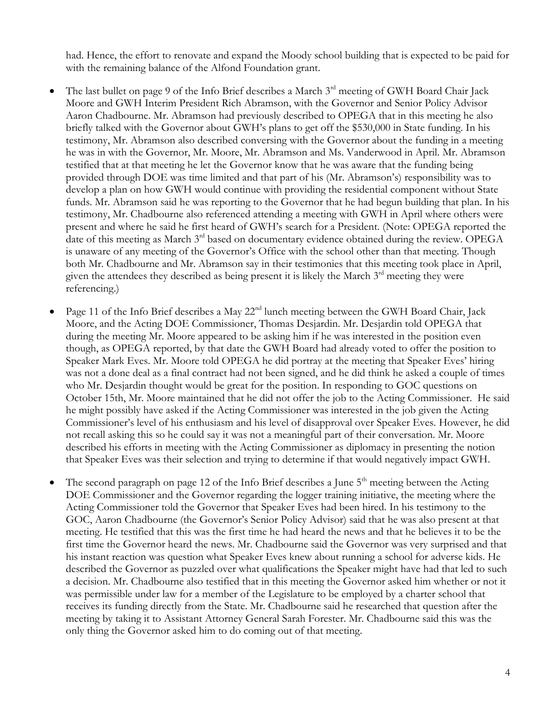had. Hence, the effort to renovate and expand the Moody school building that is expected to be paid for with the remaining balance of the Alfond Foundation grant.

- The last bullet on page 9 of the Info Brief describes a March  $3<sup>rd</sup>$  meeting of GWH Board Chair Jack Moore and GWH Interim President Rich Abramson, with the Governor and Senior Policy Advisor Aaron Chadbourne. Mr. Abramson had previously described to OPEGA that in this meeting he also briefly talked with the Governor about GWH's plans to get off the \$530,000 in State funding. In his testimony, Mr. Abramson also described conversing with the Governor about the funding in a meeting he was in with the Governor, Mr. Moore, Mr. Abramson and Ms. Vanderwood in April. Mr. Abramson testified that at that meeting he let the Governor know that he was aware that the funding being provided through DOE was time limited and that part of his (Mr. Abramson's) responsibility was to develop a plan on how GWH would continue with providing the residential component without State funds. Mr. Abramson said he was reporting to the Governor that he had begun building that plan. In his testimony, Mr. Chadbourne also referenced attending a meeting with GWH in April where others were present and where he said he first heard of GWH's search for a President. (Note: OPEGA reported the date of this meeting as March 3rd based on documentary evidence obtained during the review. OPEGA is unaware of any meeting of the Governor's Office with the school other than that meeting. Though both Mr. Chadbourne and Mr. Abramson say in their testimonies that this meeting took place in April, given the attendees they described as being present it is likely the March  $3<sup>rd</sup>$  meeting they were referencing.)
- Page 11 of the Info Brief describes a May 22<sup>nd</sup> lunch meeting between the GWH Board Chair, Jack Moore, and the Acting DOE Commissioner, Thomas Desjardin. Mr. Desjardin told OPEGA that during the meeting Mr. Moore appeared to be asking him if he was interested in the position even though, as OPEGA reported, by that date the GWH Board had already voted to offer the position to Speaker Mark Eves. Mr. Moore told OPEGA he did portray at the meeting that Speaker Eves' hiring was not a done deal as a final contract had not been signed, and he did think he asked a couple of times who Mr. Desjardin thought would be great for the position. In responding to GOC questions on October 15th, Mr. Moore maintained that he did not offer the job to the Acting Commissioner. He said he might possibly have asked if the Acting Commissioner was interested in the job given the Acting Commissioner's level of his enthusiasm and his level of disapproval over Speaker Eves. However, he did not recall asking this so he could say it was not a meaningful part of their conversation. Mr. Moore described his efforts in meeting with the Acting Commissioner as diplomacy in presenting the notion that Speaker Eves was their selection and trying to determine if that would negatively impact GWH.
- The second paragraph on page 12 of the Info Brief describes a June 5<sup>th</sup> meeting between the Acting DOE Commissioner and the Governor regarding the logger training initiative, the meeting where the Acting Commissioner told the Governor that Speaker Eves had been hired. In his testimony to the GOC, Aaron Chadbourne (the Governor's Senior Policy Advisor) said that he was also present at that meeting. He testified that this was the first time he had heard the news and that he believes it to be the first time the Governor heard the news. Mr. Chadbourne said the Governor was very surprised and that his instant reaction was question what Speaker Eves knew about running a school for adverse kids. He described the Governor as puzzled over what qualifications the Speaker might have had that led to such a decision. Mr. Chadbourne also testified that in this meeting the Governor asked him whether or not it was permissible under law for a member of the Legislature to be employed by a charter school that receives its funding directly from the State. Mr. Chadbourne said he researched that question after the meeting by taking it to Assistant Attorney General Sarah Forester. Mr. Chadbourne said this was the only thing the Governor asked him to do coming out of that meeting.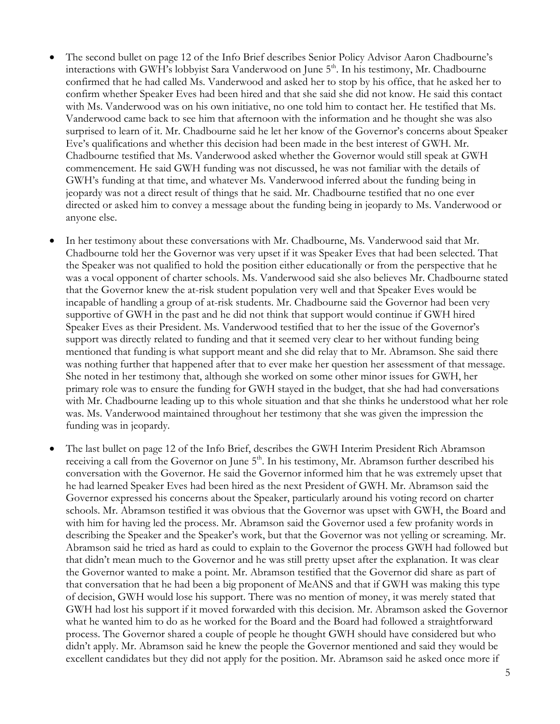- The second bullet on page 12 of the Info Brief describes Senior Policy Advisor Aaron Chadbourne's interactions with GWH's lobbyist Sara Vanderwood on June 5<sup>th</sup>. In his testimony, Mr. Chadbourne confirmed that he had called Ms. Vanderwood and asked her to stop by his office, that he asked her to confirm whether Speaker Eves had been hired and that she said she did not know. He said this contact with Ms. Vanderwood was on his own initiative, no one told him to contact her. He testified that Ms. Vanderwood came back to see him that afternoon with the information and he thought she was also surprised to learn of it. Mr. Chadbourne said he let her know of the Governor's concerns about Speaker Eve's qualifications and whether this decision had been made in the best interest of GWH. Mr. Chadbourne testified that Ms. Vanderwood asked whether the Governor would still speak at GWH commencement. He said GWH funding was not discussed, he was not familiar with the details of GWH's funding at that time, and whatever Ms. Vanderwood inferred about the funding being in jeopardy was not a direct result of things that he said. Mr. Chadbourne testified that no one ever directed or asked him to convey a message about the funding being in jeopardy to Ms. Vanderwood or anyone else.
- In her testimony about these conversations with Mr. Chadbourne, Ms. Vanderwood said that Mr. Chadbourne told her the Governor was very upset if it was Speaker Eves that had been selected. That the Speaker was not qualified to hold the position either educationally or from the perspective that he was a vocal opponent of charter schools. Ms. Vanderwood said she also believes Mr. Chadbourne stated that the Governor knew the at-risk student population very well and that Speaker Eves would be incapable of handling a group of at-risk students. Mr. Chadbourne said the Governor had been very supportive of GWH in the past and he did not think that support would continue if GWH hired Speaker Eves as their President. Ms. Vanderwood testified that to her the issue of the Governor's support was directly related to funding and that it seemed very clear to her without funding being mentioned that funding is what support meant and she did relay that to Mr. Abramson. She said there was nothing further that happened after that to ever make her question her assessment of that message. She noted in her testimony that, although she worked on some other minor issues for GWH, her primary role was to ensure the funding for GWH stayed in the budget, that she had had conversations with Mr. Chadbourne leading up to this whole situation and that she thinks he understood what her role was. Ms. Vanderwood maintained throughout her testimony that she was given the impression the funding was in jeopardy.
- The last bullet on page 12 of the Info Brief, describes the GWH Interim President Rich Abramson receiving a call from the Governor on June 5<sup>th</sup>. In his testimony, Mr. Abramson further described his conversation with the Governor. He said the Governor informed him that he was extremely upset that he had learned Speaker Eves had been hired as the next President of GWH. Mr. Abramson said the Governor expressed his concerns about the Speaker, particularly around his voting record on charter schools. Mr. Abramson testified it was obvious that the Governor was upset with GWH, the Board and with him for having led the process. Mr. Abramson said the Governor used a few profanity words in describing the Speaker and the Speaker's work, but that the Governor was not yelling or screaming. Mr. Abramson said he tried as hard as could to explain to the Governor the process GWH had followed but that didn't mean much to the Governor and he was still pretty upset after the explanation. It was clear the Governor wanted to make a point. Mr. Abramson testified that the Governor did share as part of that conversation that he had been a big proponent of MeANS and that if GWH was making this type of decision, GWH would lose his support. There was no mention of money, it was merely stated that GWH had lost his support if it moved forwarded with this decision. Mr. Abramson asked the Governor what he wanted him to do as he worked for the Board and the Board had followed a straightforward process. The Governor shared a couple of people he thought GWH should have considered but who didn't apply. Mr. Abramson said he knew the people the Governor mentioned and said they would be excellent candidates but they did not apply for the position. Mr. Abramson said he asked once more if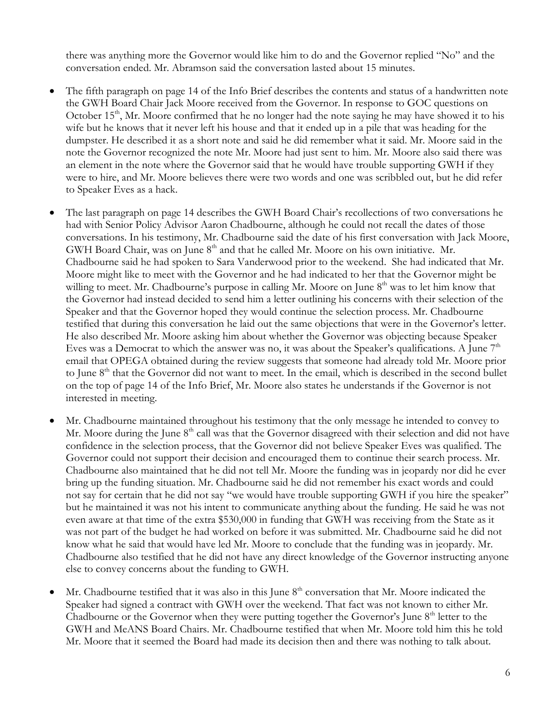there was anything more the Governor would like him to do and the Governor replied "No" and the conversation ended. Mr. Abramson said the conversation lasted about 15 minutes.

- The fifth paragraph on page 14 of the Info Brief describes the contents and status of a handwritten note the GWH Board Chair Jack Moore received from the Governor. In response to GOC questions on October  $15<sup>th</sup>$ , Mr. Moore confirmed that he no longer had the note saying he may have showed it to his wife but he knows that it never left his house and that it ended up in a pile that was heading for the dumpster. He described it as a short note and said he did remember what it said. Mr. Moore said in the note the Governor recognized the note Mr. Moore had just sent to him. Mr. Moore also said there was an element in the note where the Governor said that he would have trouble supporting GWH if they were to hire, and Mr. Moore believes there were two words and one was scribbled out, but he did refer to Speaker Eves as a hack.
- The last paragraph on page 14 describes the GWH Board Chair's recollections of two conversations he had with Senior Policy Advisor Aaron Chadbourne, although he could not recall the dates of those conversations. In his testimony, Mr. Chadbourne said the date of his first conversation with Jack Moore, GWH Board Chair, was on June 8<sup>th</sup> and that he called Mr. Moore on his own initiative. Mr. Chadbourne said he had spoken to Sara Vanderwood prior to the weekend. She had indicated that Mr. Moore might like to meet with the Governor and he had indicated to her that the Governor might be willing to meet. Mr. Chadbourne's purpose in calling Mr. Moore on June 8<sup>th</sup> was to let him know that the Governor had instead decided to send him a letter outlining his concerns with their selection of the Speaker and that the Governor hoped they would continue the selection process. Mr. Chadbourne testified that during this conversation he laid out the same objections that were in the Governor's letter. He also described Mr. Moore asking him about whether the Governor was objecting because Speaker Eves was a Democrat to which the answer was no, it was about the Speaker's qualifications. A June  $7<sup>th</sup>$ email that OPEGA obtained during the review suggests that someone had already told Mr. Moore prior to June 8<sup>th</sup> that the Governor did not want to meet. In the email, which is described in the second bullet on the top of page 14 of the Info Brief, Mr. Moore also states he understands if the Governor is not interested in meeting.
- Mr. Chadbourne maintained throughout his testimony that the only message he intended to convey to Mr. Moore during the June 8<sup>th</sup> call was that the Governor disagreed with their selection and did not have confidence in the selection process, that the Governor did not believe Speaker Eves was qualified. The Governor could not support their decision and encouraged them to continue their search process. Mr. Chadbourne also maintained that he did not tell Mr. Moore the funding was in jeopardy nor did he ever bring up the funding situation. Mr. Chadbourne said he did not remember his exact words and could not say for certain that he did not say "we would have trouble supporting GWH if you hire the speaker" but he maintained it was not his intent to communicate anything about the funding. He said he was not even aware at that time of the extra \$530,000 in funding that GWH was receiving from the State as it was not part of the budget he had worked on before it was submitted. Mr. Chadbourne said he did not know what he said that would have led Mr. Moore to conclude that the funding was in jeopardy. Mr. Chadbourne also testified that he did not have any direct knowledge of the Governor instructing anyone else to convey concerns about the funding to GWH.
- Mr. Chadbourne testified that it was also in this June 8<sup>th</sup> conversation that Mr. Moore indicated the Speaker had signed a contract with GWH over the weekend. That fact was not known to either Mr. Chadbourne or the Governor when they were putting together the Governor's June  $8<sup>th</sup>$  letter to the GWH and MeANS Board Chairs. Mr. Chadbourne testified that when Mr. Moore told him this he told Mr. Moore that it seemed the Board had made its decision then and there was nothing to talk about.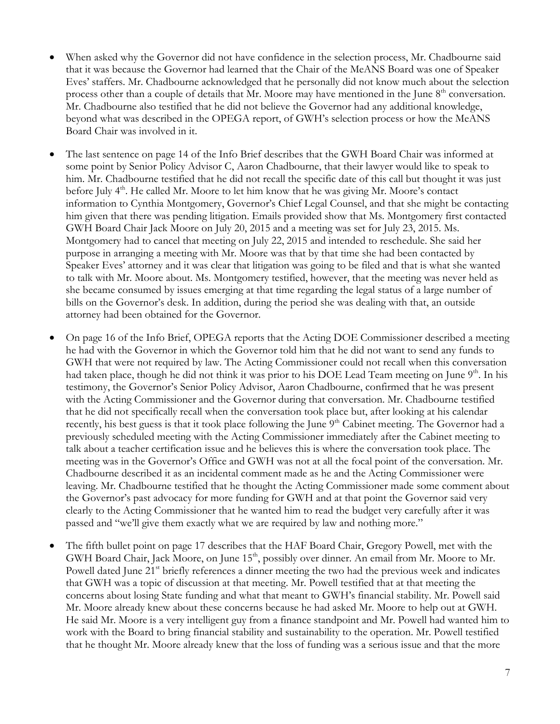- When asked why the Governor did not have confidence in the selection process, Mr. Chadbourne said that it was because the Governor had learned that the Chair of the MeANS Board was one of Speaker Eves' staffers. Mr. Chadbourne acknowledged that he personally did not know much about the selection process other than a couple of details that Mr. Moore may have mentioned in the June 8<sup>th</sup> conversation. Mr. Chadbourne also testified that he did not believe the Governor had any additional knowledge, beyond what was described in the OPEGA report, of GWH's selection process or how the MeANS Board Chair was involved in it.
- The last sentence on page 14 of the Info Brief describes that the GWH Board Chair was informed at some point by Senior Policy Advisor C, Aaron Chadbourne, that their lawyer would like to speak to him. Mr. Chadbourne testified that he did not recall the specific date of this call but thought it was just before July  $4<sup>th</sup>$ . He called Mr. Moore to let him know that he was giving Mr. Moore's contact information to Cynthia Montgomery, Governor's Chief Legal Counsel, and that she might be contacting him given that there was pending litigation. Emails provided show that Ms. Montgomery first contacted GWH Board Chair Jack Moore on July 20, 2015 and a meeting was set for July 23, 2015. Ms. Montgomery had to cancel that meeting on July 22, 2015 and intended to reschedule. She said her purpose in arranging a meeting with Mr. Moore was that by that time she had been contacted by Speaker Eves' attorney and it was clear that litigation was going to be filed and that is what she wanted to talk with Mr. Moore about. Ms. Montgomery testified, however, that the meeting was never held as she became consumed by issues emerging at that time regarding the legal status of a large number of bills on the Governor's desk. In addition, during the period she was dealing with that, an outside attorney had been obtained for the Governor.
- On page 16 of the Info Brief, OPEGA reports that the Acting DOE Commissioner described a meeting he had with the Governor in which the Governor told him that he did not want to send any funds to GWH that were not required by law. The Acting Commissioner could not recall when this conversation had taken place, though he did not think it was prior to his DOE Lead Team meeting on June 9<sup>th</sup>. In his testimony, the Governor's Senior Policy Advisor, Aaron Chadbourne, confirmed that he was present with the Acting Commissioner and the Governor during that conversation. Mr. Chadbourne testified that he did not specifically recall when the conversation took place but, after looking at his calendar recently, his best guess is that it took place following the June 9<sup>th</sup> Cabinet meeting. The Governor had a previously scheduled meeting with the Acting Commissioner immediately after the Cabinet meeting to talk about a teacher certification issue and he believes this is where the conversation took place. The meeting was in the Governor's Office and GWH was not at all the focal point of the conversation. Mr. Chadbourne described it as an incidental comment made as he and the Acting Commissioner were leaving. Mr. Chadbourne testified that he thought the Acting Commissioner made some comment about the Governor's past advocacy for more funding for GWH and at that point the Governor said very clearly to the Acting Commissioner that he wanted him to read the budget very carefully after it was passed and "we'll give them exactly what we are required by law and nothing more."
- The fifth bullet point on page 17 describes that the HAF Board Chair, Gregory Powell, met with the GWH Board Chair, Jack Moore, on June 15<sup>th</sup>, possibly over dinner. An email from Mr. Moore to Mr. Powell dated June 21<sup>st</sup> briefly references a dinner meeting the two had the previous week and indicates that GWH was a topic of discussion at that meeting. Mr. Powell testified that at that meeting the concerns about losing State funding and what that meant to GWH's financial stability. Mr. Powell said Mr. Moore already knew about these concerns because he had asked Mr. Moore to help out at GWH. He said Mr. Moore is a very intelligent guy from a finance standpoint and Mr. Powell had wanted him to work with the Board to bring financial stability and sustainability to the operation. Mr. Powell testified that he thought Mr. Moore already knew that the loss of funding was a serious issue and that the more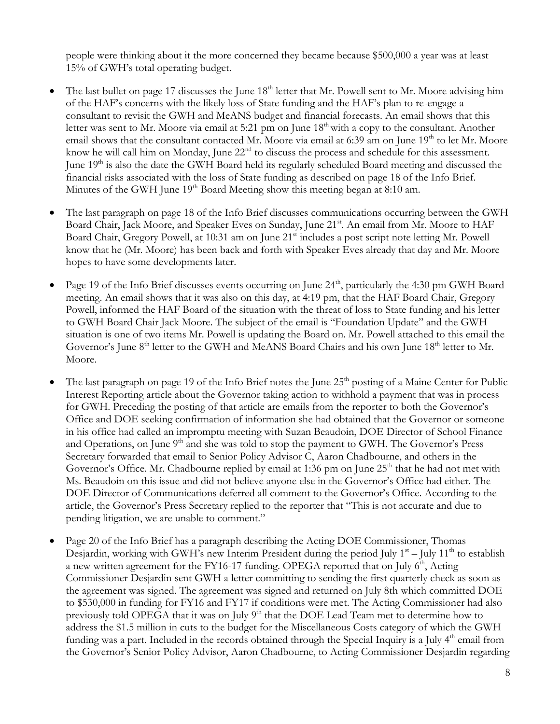people were thinking about it the more concerned they became because \$500,000 a year was at least 15% of GWH's total operating budget.

- The last bullet on page 17 discusses the June 18<sup>th</sup> letter that Mr. Powell sent to Mr. Moore advising him of the HAF's concerns with the likely loss of State funding and the HAF's plan to re-engage a consultant to revisit the GWH and MeANS budget and financial forecasts. An email shows that this letter was sent to Mr. Moore via email at 5:21 pm on June 18<sup>th</sup> with a copy to the consultant. Another email shows that the consultant contacted Mr. Moore via email at 6:39 am on June 19<sup>th</sup> to let Mr. Moore know he will call him on Monday, June 22<sup>nd</sup> to discuss the process and schedule for this assessment. June 19th is also the date the GWH Board held its regularly scheduled Board meeting and discussed the financial risks associated with the loss of State funding as described on page 18 of the Info Brief. Minutes of the GWH June  $19<sup>th</sup>$  Board Meeting show this meeting began at 8:10 am.
- The last paragraph on page 18 of the Info Brief discusses communications occurring between the GWH Board Chair, Jack Moore, and Speaker Eves on Sunday, June 21<sup>st</sup>. An email from Mr. Moore to HAF Board Chair, Gregory Powell, at 10:31 am on June 21<sup>st</sup> includes a post script note letting Mr. Powell know that he (Mr. Moore) has been back and forth with Speaker Eves already that day and Mr. Moore hopes to have some developments later.
- Page 19 of the Info Brief discusses events occurring on June 24<sup>th</sup>, particularly the 4:30 pm GWH Board meeting. An email shows that it was also on this day, at 4:19 pm, that the HAF Board Chair, Gregory Powell, informed the HAF Board of the situation with the threat of loss to State funding and his letter to GWH Board Chair Jack Moore. The subject of the email is "Foundation Update" and the GWH situation is one of two items Mr. Powell is updating the Board on. Mr. Powell attached to this email the Governor's June 8<sup>th</sup> letter to the GWH and MeANS Board Chairs and his own June 18<sup>th</sup> letter to Mr. Moore.
- The last paragraph on page 19 of the Info Brief notes the June  $25<sup>th</sup>$  posting of a Maine Center for Public Interest Reporting article about the Governor taking action to withhold a payment that was in process for GWH. Preceding the posting of that article are emails from the reporter to both the Governor's Office and DOE seeking confirmation of information she had obtained that the Governor or someone in his office had called an impromptu meeting with Suzan Beaudoin, DOE Director of School Finance and Operations, on June 9<sup>th</sup> and she was told to stop the payment to GWH. The Governor's Press Secretary forwarded that email to Senior Policy Advisor C, Aaron Chadbourne, and others in the Governor's Office. Mr. Chadbourne replied by email at 1:36 pm on June 25<sup>th</sup> that he had not met with Ms. Beaudoin on this issue and did not believe anyone else in the Governor's Office had either. The DOE Director of Communications deferred all comment to the Governor's Office. According to the article, the Governor's Press Secretary replied to the reporter that "This is not accurate and due to pending litigation, we are unable to comment."
- Page 20 of the Info Brief has a paragraph describing the Acting DOE Commissioner, Thomas Desjardin, working with GWH's new Interim President during the period July  $1^{st}$  – July  $11^{th}$  to establish a new written agreement for the FY16-17 funding. OPEGA reported that on July  $6<sup>th</sup>$ , Acting Commissioner Desjardin sent GWH a letter committing to sending the first quarterly check as soon as the agreement was signed. The agreement was signed and returned on July 8th which committed DOE to \$530,000 in funding for FY16 and FY17 if conditions were met. The Acting Commissioner had also previously told OPEGA that it was on July 9<sup>th</sup> that the DOE Lead Team met to determine how to address the \$1.5 million in cuts to the budget for the Miscellaneous Costs category of which the GWH funding was a part. Included in the records obtained through the Special Inquiry is a July 4<sup>th</sup> email from the Governor's Senior Policy Advisor, Aaron Chadbourne, to Acting Commissioner Desjardin regarding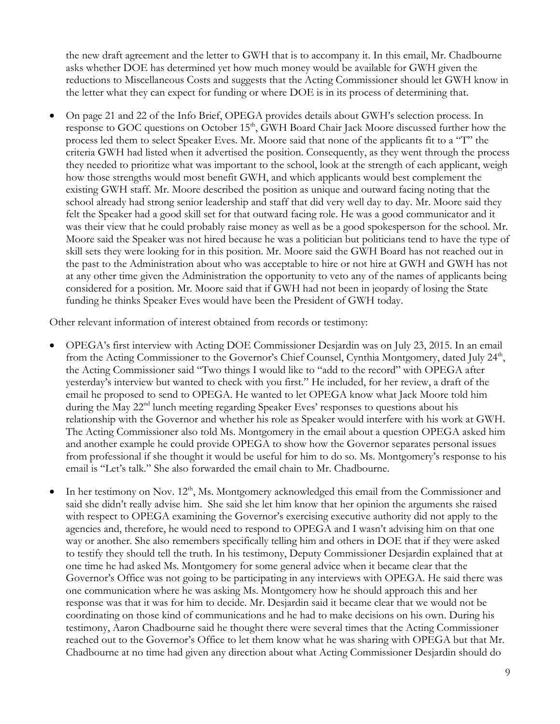the new draft agreement and the letter to GWH that is to accompany it. In this email, Mr. Chadbourne asks whether DOE has determined yet how much money would be available for GWH given the reductions to Miscellaneous Costs and suggests that the Acting Commissioner should let GWH know in the letter what they can expect for funding or where DOE is in its process of determining that.

 On page 21 and 22 of the Info Brief, OPEGA provides details about GWH's selection process. In response to GOC questions on October 15<sup>th</sup>, GWH Board Chair Jack Moore discussed further how the process led them to select Speaker Eves. Mr. Moore said that none of the applicants fit to a "T" the criteria GWH had listed when it advertised the position. Consequently, as they went through the process they needed to prioritize what was important to the school, look at the strength of each applicant, weigh how those strengths would most benefit GWH, and which applicants would best complement the existing GWH staff. Mr. Moore described the position as unique and outward facing noting that the school already had strong senior leadership and staff that did very well day to day. Mr. Moore said they felt the Speaker had a good skill set for that outward facing role. He was a good communicator and it was their view that he could probably raise money as well as be a good spokesperson for the school. Mr. Moore said the Speaker was not hired because he was a politician but politicians tend to have the type of skill sets they were looking for in this position. Mr. Moore said the GWH Board has not reached out in the past to the Administration about who was acceptable to hire or not hire at GWH and GWH has not at any other time given the Administration the opportunity to veto any of the names of applicants being considered for a position. Mr. Moore said that if GWH had not been in jeopardy of losing the State funding he thinks Speaker Eves would have been the President of GWH today.

Other relevant information of interest obtained from records or testimony:

- OPEGA's first interview with Acting DOE Commissioner Desjardin was on July 23, 2015. In an email from the Acting Commissioner to the Governor's Chief Counsel, Cynthia Montgomery, dated July 24<sup>th</sup>, the Acting Commissioner said "Two things I would like to "add to the record" with OPEGA after yesterday's interview but wanted to check with you first." He included, for her review, a draft of the email he proposed to send to OPEGA. He wanted to let OPEGA know what Jack Moore told him during the May 22<sup>nd</sup> lunch meeting regarding Speaker Eves' responses to questions about his relationship with the Governor and whether his role as Speaker would interfere with his work at GWH. The Acting Commissioner also told Ms. Montgomery in the email about a question OPEGA asked him and another example he could provide OPEGA to show how the Governor separates personal issues from professional if she thought it would be useful for him to do so. Ms. Montgomery's response to his email is "Let's talk." She also forwarded the email chain to Mr. Chadbourne.
- In her testimony on Nov. 12<sup>th</sup>, Ms. Montgomery acknowledged this email from the Commissioner and said she didn't really advise him. She said she let him know that her opinion the arguments she raised with respect to OPEGA examining the Governor's exercising executive authority did not apply to the agencies and, therefore, he would need to respond to OPEGA and I wasn't advising him on that one way or another. She also remembers specifically telling him and others in DOE that if they were asked to testify they should tell the truth. In his testimony, Deputy Commissioner Desjardin explained that at one time he had asked Ms. Montgomery for some general advice when it became clear that the Governor's Office was not going to be participating in any interviews with OPEGA. He said there was one communication where he was asking Ms. Montgomery how he should approach this and her response was that it was for him to decide. Mr. Desjardin said it became clear that we would not be coordinating on those kind of communications and he had to make decisions on his own. During his testimony, Aaron Chadbourne said he thought there were several times that the Acting Commissioner reached out to the Governor's Office to let them know what he was sharing with OPEGA but that Mr. Chadbourne at no time had given any direction about what Acting Commissioner Desjardin should do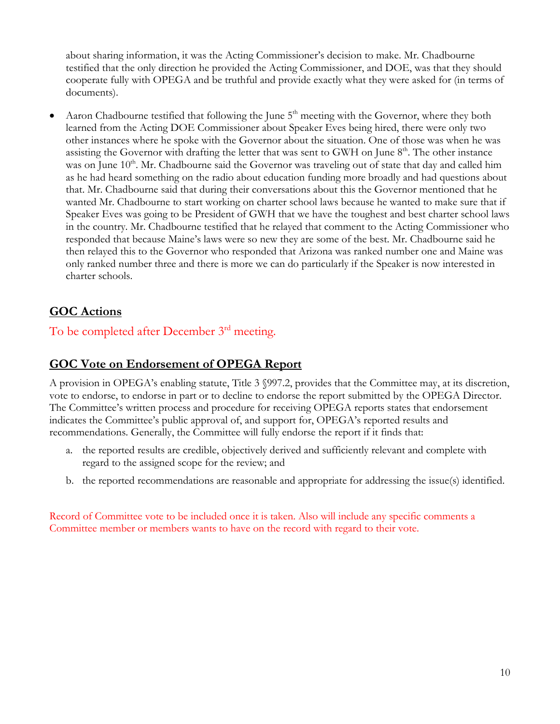about sharing information, it was the Acting Commissioner's decision to make. Mr. Chadbourne testified that the only direction he provided the Acting Commissioner, and DOE, was that they should cooperate fully with OPEGA and be truthful and provide exactly what they were asked for (in terms of documents).

Aaron Chadbourne testified that following the June  $5<sup>th</sup>$  meeting with the Governor, where they both learned from the Acting DOE Commissioner about Speaker Eves being hired, there were only two other instances where he spoke with the Governor about the situation. One of those was when he was assisting the Governor with drafting the letter that was sent to GWH on June  $8<sup>th</sup>$ . The other instance was on June 10<sup>th</sup>. Mr. Chadbourne said the Governor was traveling out of state that day and called him as he had heard something on the radio about education funding more broadly and had questions about that. Mr. Chadbourne said that during their conversations about this the Governor mentioned that he wanted Mr. Chadbourne to start working on charter school laws because he wanted to make sure that if Speaker Eves was going to be President of GWH that we have the toughest and best charter school laws in the country. Mr. Chadbourne testified that he relayed that comment to the Acting Commissioner who responded that because Maine's laws were so new they are some of the best. Mr. Chadbourne said he then relayed this to the Governor who responded that Arizona was ranked number one and Maine was only ranked number three and there is more we can do particularly if the Speaker is now interested in charter schools.

# **GOC Actions**

To be completed after December 3<sup>rd</sup> meeting.

# **GOC Vote on Endorsement of OPEGA Report**

A provision in OPEGA's enabling statute, Title 3 §997.2, provides that the Committee may, at its discretion, vote to endorse, to endorse in part or to decline to endorse the report submitted by the OPEGA Director. The Committee's written process and procedure for receiving OPEGA reports states that endorsement indicates the Committee's public approval of, and support for, OPEGA's reported results and recommendations. Generally, the Committee will fully endorse the report if it finds that:

- a. the reported results are credible, objectively derived and sufficiently relevant and complete with regard to the assigned scope for the review; and
- b. the reported recommendations are reasonable and appropriate for addressing the issue(s) identified.

Record of Committee vote to be included once it is taken. Also will include any specific comments a Committee member or members wants to have on the record with regard to their vote.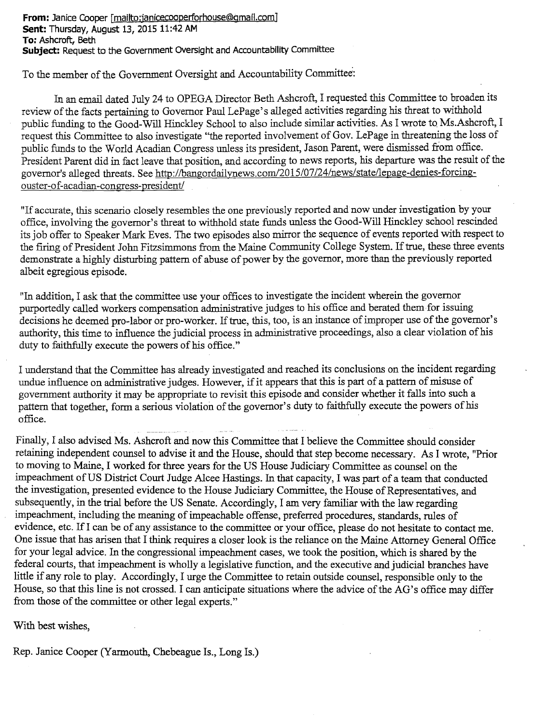**From: Janice Cooper [mailto:janicecooperforhouse@gmail.com] Sent: Thursday, August** 13, 2015 11:42 AM **To: Ashcroft, Beth Subject: Request to the Government Oversight and Accountability Committee**

To the member of the Government Oversight and Accountability Committee.:

In an email dated July 24 to OPEGA Director Beth Ashcroft, I requested this Committee to broaden its review of the facts pertaining to Governor Paul LePage's alleged activities regarding his threat to withhold public funding to the Good-Will Hinckley School to also include similar activities. As I wrote to Ms.Ashcroft, I request this Committee to also investigate "the reported involvement of Gov. LePage in threatening the loss of public funds to the World Acadian Congress unless its president, Jason Parent, were dismissed from office. President Parent did in fact leave that position, and according to news reports, his departure was the result of the governor's alleged threats. See http://bangordailynews.com/2015/07/24/news/state/lepage-denies-forcingouster-of-acadian-congress-president/

"If accurate, this scenario closely resembles the one previously reported and now under investigation by your office, involving the governor's threat to withhold state funds unless the Good-Will Hinckley school rescinded its job offer to Speaker Mark Eves. The two episodes also mirror the sequence of events reported with respect to the firing of President John Fitzsimmons from the Maine Community College System. If true, these three events demonstrate a highly disturbing pattern of abuse of power by the governor, more than the previously reported albeit egregious episode.

"In addition, I ask that the committee use your offices to investigate the incident wherein the governor purportedly called workers compensation administrative judges to his office and berated them for issuing decisions he deemed pro-labor or pro-worker. If true, this, too, is an instance of improper use of the governor's authority, this time to influence the judicial process in administrative proceedings, also a clear violation of his duty to faithfully execute the powers of his office."

I understand that the Committee has already investigated and reached its conclusions on the incident regarding undue influence on administrative judges. However, if it appears that this is part of a pattern of misuse of government authority it may be appropriate to revisit this episode and consider whether it falls into such a pattern that together, form a serious violation of the governor's duty to faithfully execute the powers of his office.

Finally, I also advised Ms. Ashcroft and now this Committee that I believe the Committee should consider retaining independent counsel to advise it and the House, should that step become necessary. As I wrote, "Prior to moving to Maine, I worked for three years for the US House Judiciary Committee as counsel on the impeachment of US District Court Judge Alcee Hastings. In that capacity, I was part of a team that conducted the investigation, presented evidence to the House Judiciary Committee, the House of Representatives, and subsequently, in the trial before the US Senate. Accordingly, I am very familiar with the law regarding impeachment, including the meaning of impeachable offense, preferred procedures, standards, rules of evidence, etc. If I can be of any assistance to the committee or your office, please do not hesitate to contact me. One issue that has arisen that I think requires a closer look is the reliance on the Maine Attorney General Office for your legal advice. In the congressional impeachment cases, we took the position, which is shared by the federal courts, that impeachment is wholly a legislative function, and the executive and judicial branches have little if any role to play. Accordingly, I urge the Committee to retain outside counsel, responsible only to the House, so that this line is not crossed. I can anticipate situations where the advice of the AG's office may differ from those of the committee or other legal experts."

With best wishes,

Rep. Janice Cooper (Yarmouth, Chebeague Is., Long Is.)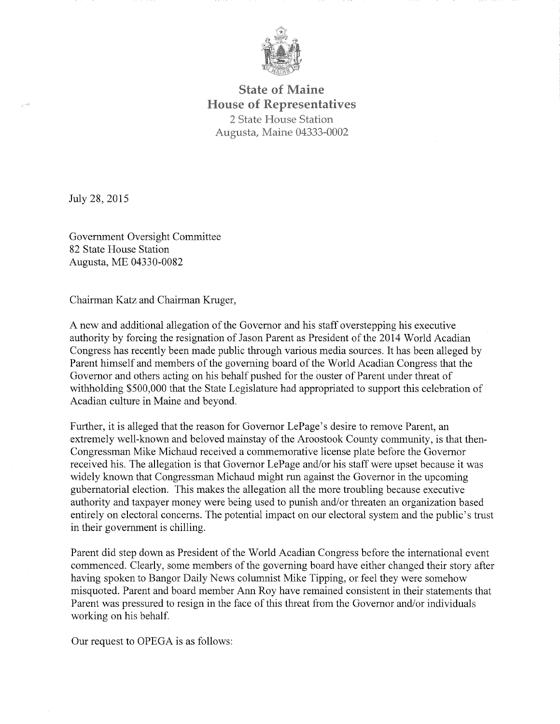

### **State of Maine House of Representatives** 2 State House Station Augusta, Maine 04333-0002

July 28, 2015

Government Oversight Committee 82 State House Station Augusta, ME 04330-0082

Chairman Katz and Chairman Kruger,

A new and additional allegation of the Governor and his staff overstepping his executive authority by forcing the resignation of Jason Parent as President of the 2014 World Acadian Congress has recently been made public through various media sources. It has been alleged by Parent himself and members of the governing board of the World Acadian Congress that the Governor and others acting on his behalf pushed for the ouster of Parent under threat of withholding \$500,000 that the State Legislature had appropriated to support this celebration of Acadian culture in Maine and beyond.

Further, it is alleged that the reason for Governor LePage's desire to remove Parent, an extremely well-known and beloved mainstay of the Aroostook County community, is that then-Congressman Mike Michaud received a commemorative license plate before the Governor received his. The allegation is that Governor LePage and/or his staff were upset because it was widely known that Congressman Michaud might run against the Governor in the upcoming gubernatorial election. This makes the allegation all the more troubling because executive authority and taxpayer money were being used to punish and/or threaten an organization based entirely on electoral concerns. The potential impact on our electoral system and the public's trust in their government is chilling.

Parent did step down as President of the World Acadian Congress before the international event commenced. Clearly, some members of the governing board have either changed their story after having spoken to Bangor Daily News columnist Mike Tipping, or feel they were somehow misquoted. Parent and board member Ann Roy have remained consistent in their statements that Parent was pressured to resign in the face of this threat from the Governor and/or individuals working on his behalf.

Our request to OPEGA is as follows: